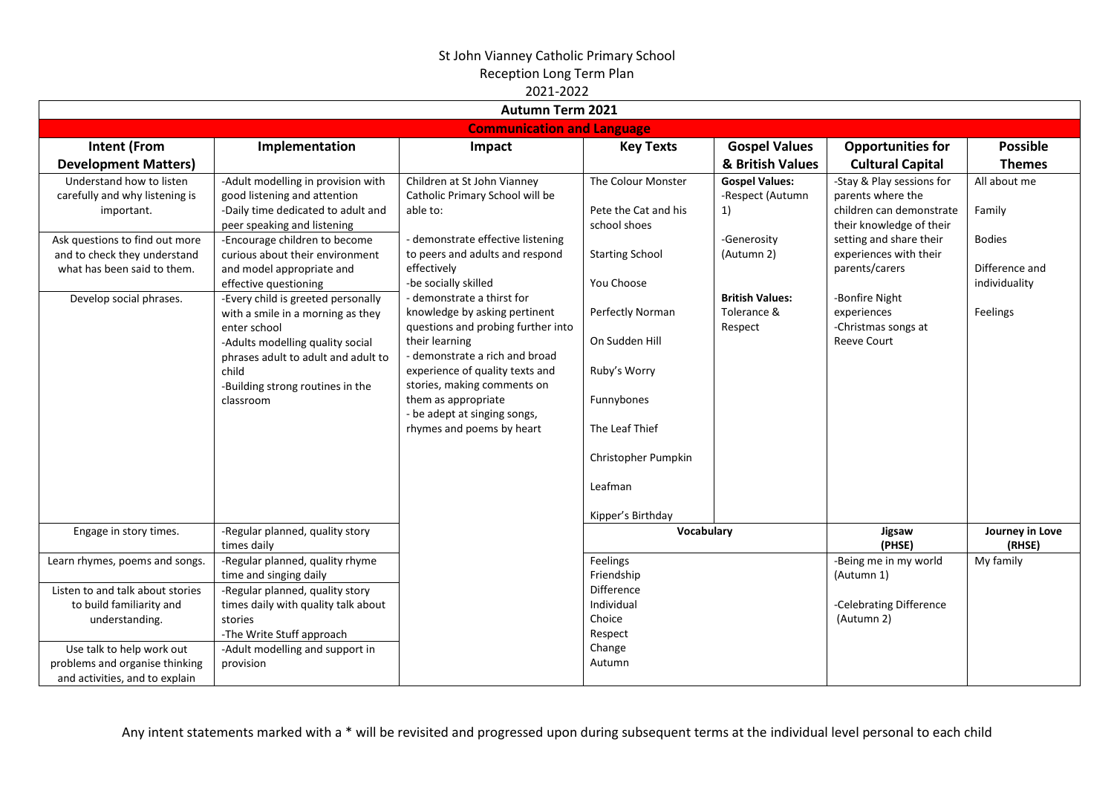|                                                                                                             | ZUZI-ZUZZ<br><b>Autumn Term 2021</b>                                                                                                                                                                                         |                                                                                                                                                                                                                                                                                                             |                                                                                                                                           |                                                  |                                                                                                        |                                                  |  |  |  |  |
|-------------------------------------------------------------------------------------------------------------|------------------------------------------------------------------------------------------------------------------------------------------------------------------------------------------------------------------------------|-------------------------------------------------------------------------------------------------------------------------------------------------------------------------------------------------------------------------------------------------------------------------------------------------------------|-------------------------------------------------------------------------------------------------------------------------------------------|--------------------------------------------------|--------------------------------------------------------------------------------------------------------|--------------------------------------------------|--|--|--|--|
| <b>Communication and Language</b>                                                                           |                                                                                                                                                                                                                              |                                                                                                                                                                                                                                                                                                             |                                                                                                                                           |                                                  |                                                                                                        |                                                  |  |  |  |  |
| <b>Intent (From</b><br><b>Development Matters)</b>                                                          | Implementation                                                                                                                                                                                                               | Impact                                                                                                                                                                                                                                                                                                      | <b>Key Texts</b>                                                                                                                          | <b>Gospel Values</b><br>& British Values         | <b>Opportunities for</b><br><b>Cultural Capital</b>                                                    | <b>Possible</b><br><b>Themes</b>                 |  |  |  |  |
| Understand how to listen<br>carefully and why listening is<br>important.                                    | -Adult modelling in provision with<br>good listening and attention<br>-Daily time dedicated to adult and<br>peer speaking and listening                                                                                      | Children at St John Vianney<br>Catholic Primary School will be<br>able to:                                                                                                                                                                                                                                  | The Colour Monster<br>Pete the Cat and his<br>school shoes                                                                                | <b>Gospel Values:</b><br>-Respect (Autumn<br>1)  | -Stay & Play sessions for<br>parents where the<br>children can demonstrate<br>their knowledge of their | All about me<br>Family                           |  |  |  |  |
| Ask questions to find out more<br>and to check they understand<br>what has been said to them.               | -Encourage children to become<br>curious about their environment<br>and model appropriate and<br>effective questioning                                                                                                       | - demonstrate effective listening<br>to peers and adults and respond<br>effectively<br>-be socially skilled                                                                                                                                                                                                 | <b>Starting School</b><br>You Choose                                                                                                      | -Generosity<br>(Autumn 2)                        | setting and share their<br>experiences with their<br>parents/carers                                    | <b>Bodies</b><br>Difference and<br>individuality |  |  |  |  |
| Develop social phrases.                                                                                     | -Every child is greeted personally<br>with a smile in a morning as they<br>enter school<br>-Adults modelling quality social<br>phrases adult to adult and adult to<br>child<br>-Building strong routines in the<br>classroom | - demonstrate a thirst for<br>knowledge by asking pertinent<br>questions and probing further into<br>their learning<br>- demonstrate a rich and broad<br>experience of quality texts and<br>stories, making comments on<br>them as appropriate<br>- be adept at singing songs,<br>rhymes and poems by heart | Perfectly Norman<br>On Sudden Hill<br>Ruby's Worry<br>Funnybones<br>The Leaf Thief<br>Christopher Pumpkin<br>Leafman<br>Kipper's Birthday | <b>British Values:</b><br>Tolerance &<br>Respect | -Bonfire Night<br>experiences<br>-Christmas songs at<br><b>Reeve Court</b>                             | Feelings                                         |  |  |  |  |
| Engage in story times.                                                                                      | -Regular planned, quality story<br>times daily                                                                                                                                                                               |                                                                                                                                                                                                                                                                                                             | Vocabulary                                                                                                                                |                                                  | Jigsaw<br>(PHSE)                                                                                       | Journey in Love<br>(RHSE)                        |  |  |  |  |
| Learn rhymes, poems and songs.                                                                              | -Regular planned, quality rhyme<br>time and singing daily                                                                                                                                                                    |                                                                                                                                                                                                                                                                                                             | Feelings<br>Friendship                                                                                                                    |                                                  | -Being me in my world<br>(Autumn 1)                                                                    | My family                                        |  |  |  |  |
| Listen to and talk about stories<br>to build familiarity and<br>understanding.<br>Use talk to help work out | -Regular planned, quality story<br>times daily with quality talk about<br>stories<br>-The Write Stuff approach<br>-Adult modelling and support in                                                                            |                                                                                                                                                                                                                                                                                                             | Difference<br>Individual<br>Choice<br>Respect<br>Change                                                                                   |                                                  | -Celebrating Difference<br>(Autumn 2)                                                                  |                                                  |  |  |  |  |
| problems and organise thinking<br>and activities, and to explain                                            | provision                                                                                                                                                                                                                    |                                                                                                                                                                                                                                                                                                             | Autumn                                                                                                                                    |                                                  |                                                                                                        |                                                  |  |  |  |  |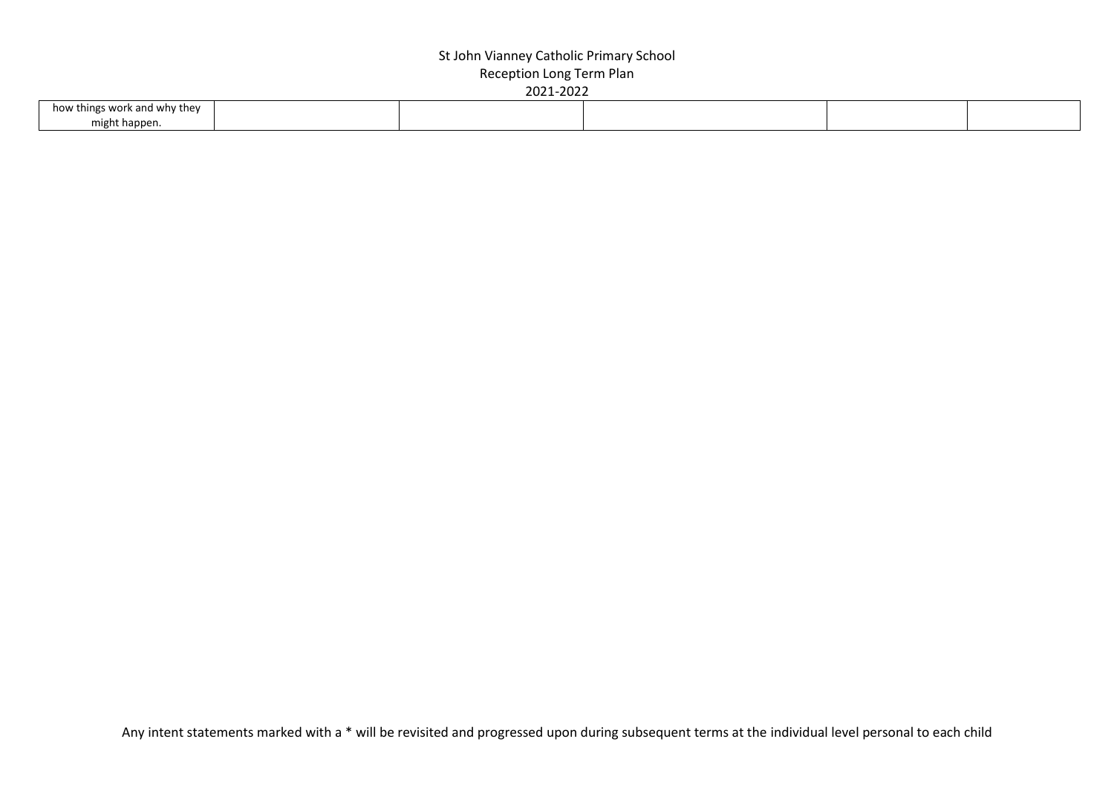| how things work and why they |  |  |  |
|------------------------------|--|--|--|
| might happen.                |  |  |  |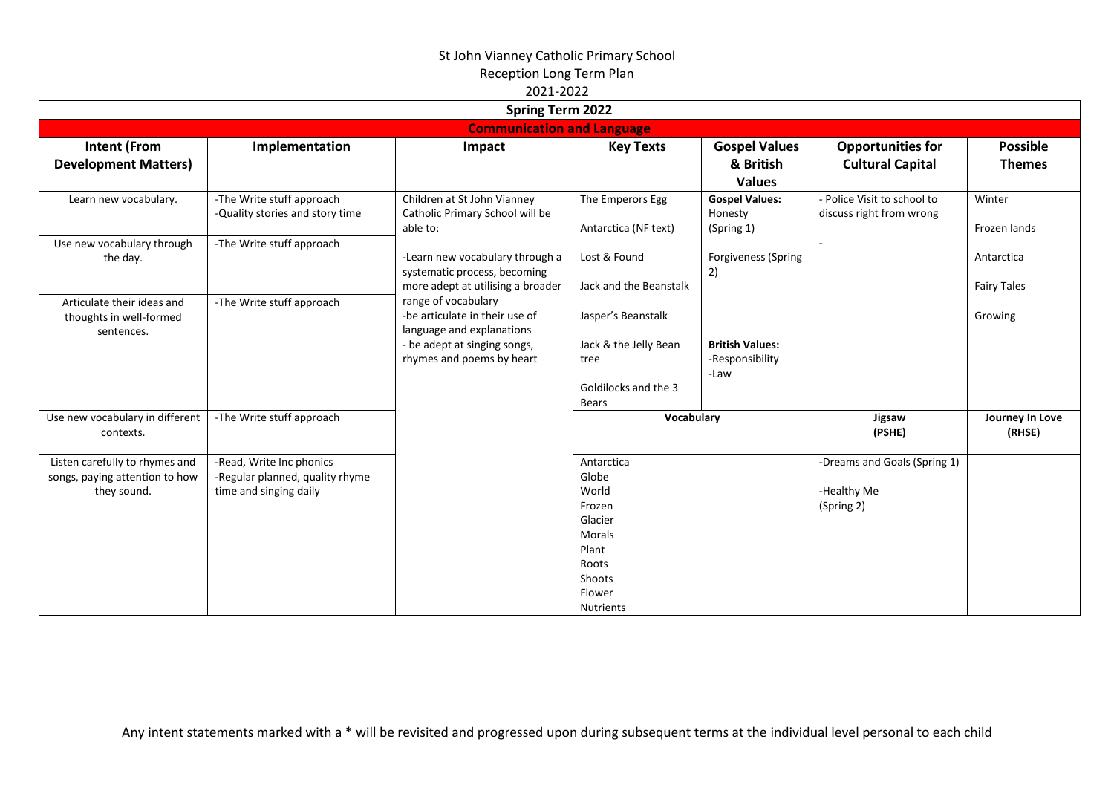|                                                                                 |                                                                                       | <b>Spring Term 2022</b>                                                                                                                         |                                                                                                                              |                                                    |                                                           |                                  |
|---------------------------------------------------------------------------------|---------------------------------------------------------------------------------------|-------------------------------------------------------------------------------------------------------------------------------------------------|------------------------------------------------------------------------------------------------------------------------------|----------------------------------------------------|-----------------------------------------------------------|----------------------------------|
|                                                                                 |                                                                                       | <b>Communication and Language</b>                                                                                                               |                                                                                                                              |                                                    |                                                           |                                  |
| <b>Intent (From</b><br><b>Development Matters)</b>                              | Implementation                                                                        | Impact                                                                                                                                          | <b>Key Texts</b>                                                                                                             | <b>Gospel Values</b><br>& British<br><b>Values</b> | <b>Opportunities for</b><br><b>Cultural Capital</b>       | <b>Possible</b><br><b>Themes</b> |
| Learn new vocabulary.                                                           | -The Write stuff approach<br>-Quality stories and story time                          | Children at St John Vianney<br>Catholic Primary School will be<br>able to:                                                                      | The Emperors Egg<br>Antarctica (NF text)                                                                                     | <b>Gospel Values:</b><br>Honesty<br>(Spring 1)     | - Police Visit to school to<br>discuss right from wrong   | Winter<br>Frozen lands           |
| Use new vocabulary through<br>the day.                                          | -The Write stuff approach                                                             | -Learn new vocabulary through a<br>systematic process, becoming<br>more adept at utilising a broader                                            | Lost & Found<br>Jack and the Beanstalk                                                                                       | Forgiveness (Spring<br>2)                          |                                                           | Antarctica<br><b>Fairy Tales</b> |
| Articulate their ideas and<br>thoughts in well-formed<br>sentences.             | -The Write stuff approach                                                             | range of vocabulary<br>-be articulate in their use of<br>language and explanations<br>- be adept at singing songs,<br>rhymes and poems by heart | Jasper's Beanstalk<br>Jack & the Jelly Bean<br>tree<br>Goldilocks and the 3<br>Bears                                         | <b>British Values:</b><br>-Responsibility<br>-Law  |                                                           | Growing                          |
| Use new vocabulary in different<br>contexts.                                    | -The Write stuff approach                                                             |                                                                                                                                                 | Vocabulary                                                                                                                   |                                                    | Jigsaw<br>(PSHE)                                          | Journey In Love<br>(RHSE)        |
| Listen carefully to rhymes and<br>songs, paying attention to how<br>they sound. | -Read, Write Inc phonics<br>-Regular planned, quality rhyme<br>time and singing daily |                                                                                                                                                 | Antarctica<br>Globe<br>World<br>Frozen<br>Glacier<br><b>Morals</b><br>Plant<br>Roots<br>Shoots<br>Flower<br><b>Nutrients</b> |                                                    | -Dreams and Goals (Spring 1)<br>-Healthy Me<br>(Spring 2) |                                  |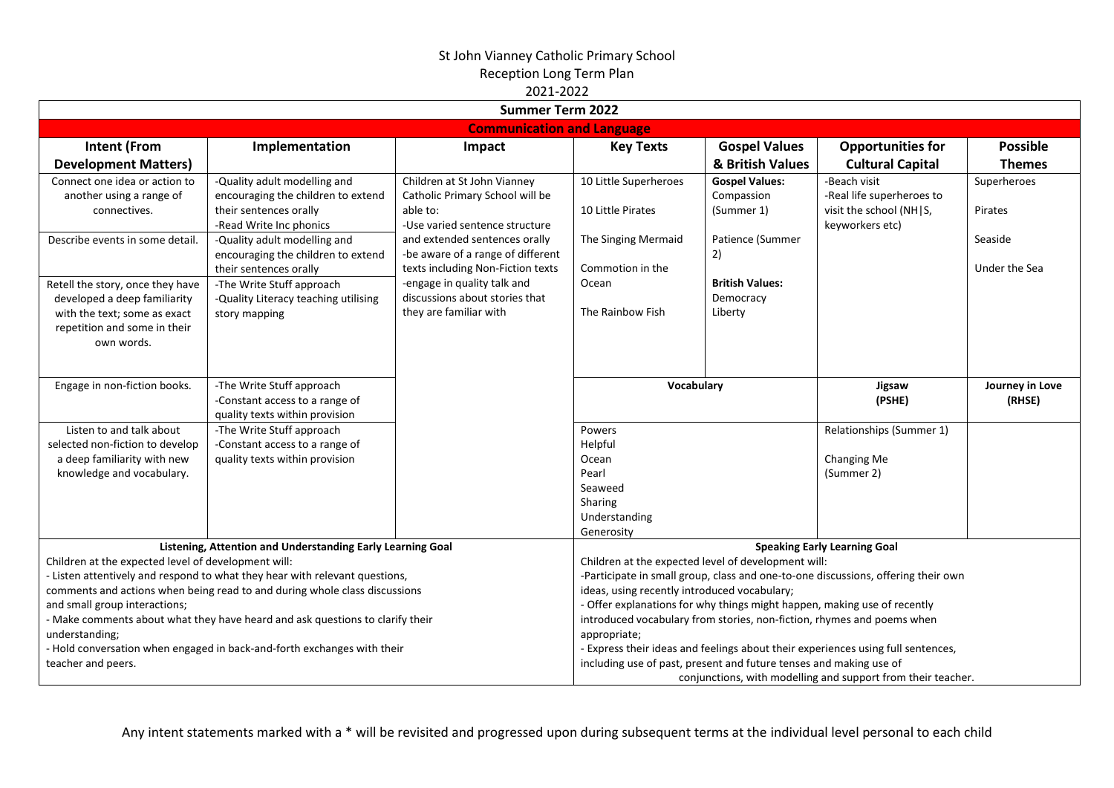|                                                                                                                                                                                                                                                                                                                                                                                                                                                                                                                     | <b>Summer Term 2022</b>                                                                                                 |                                                                                                                                                                                           |                                                                                          |                                                                                                                                                                                                                                                                                                                                                                                                                                    |                                                                                         |                                  |  |  |  |
|---------------------------------------------------------------------------------------------------------------------------------------------------------------------------------------------------------------------------------------------------------------------------------------------------------------------------------------------------------------------------------------------------------------------------------------------------------------------------------------------------------------------|-------------------------------------------------------------------------------------------------------------------------|-------------------------------------------------------------------------------------------------------------------------------------------------------------------------------------------|------------------------------------------------------------------------------------------|------------------------------------------------------------------------------------------------------------------------------------------------------------------------------------------------------------------------------------------------------------------------------------------------------------------------------------------------------------------------------------------------------------------------------------|-----------------------------------------------------------------------------------------|----------------------------------|--|--|--|
|                                                                                                                                                                                                                                                                                                                                                                                                                                                                                                                     |                                                                                                                         | <b>Communication and Language</b>                                                                                                                                                         |                                                                                          |                                                                                                                                                                                                                                                                                                                                                                                                                                    |                                                                                         |                                  |  |  |  |
| <b>Intent (From</b><br><b>Development Matters)</b>                                                                                                                                                                                                                                                                                                                                                                                                                                                                  | Implementation                                                                                                          | Impact                                                                                                                                                                                    | <b>Key Texts</b>                                                                         | <b>Gospel Values</b><br>& British Values                                                                                                                                                                                                                                                                                                                                                                                           | <b>Opportunities for</b><br><b>Cultural Capital</b>                                     | <b>Possible</b><br><b>Themes</b> |  |  |  |
| Connect one idea or action to<br>another using a range of<br>connectives.                                                                                                                                                                                                                                                                                                                                                                                                                                           | -Quality adult modelling and<br>encouraging the children to extend<br>their sentences orally<br>-Read Write Inc phonics | Children at St John Vianney<br>Catholic Primary School will be<br>able to:<br>-Use varied sentence structure                                                                              | 10 Little Superheroes<br>10 Little Pirates                                               | <b>Gospel Values:</b><br>Compassion<br>(Summer 1)                                                                                                                                                                                                                                                                                                                                                                                  | -Beach visit<br>-Real life superheroes to<br>visit the school (NH S,<br>keyworkers etc) | Superheroes<br>Pirates           |  |  |  |
| Describe events in some detail.                                                                                                                                                                                                                                                                                                                                                                                                                                                                                     | -Quality adult modelling and<br>encouraging the children to extend<br>their sentences orally                            | and extended sentences orally<br>-be aware of a range of different<br>texts including Non-Fiction texts                                                                                   | The Singing Mermaid<br>Commotion in the                                                  | Patience (Summer<br>2)<br><b>British Values:</b>                                                                                                                                                                                                                                                                                                                                                                                   |                                                                                         | Seaside<br>Under the Sea         |  |  |  |
| Retell the story, once they have<br>developed a deep familiarity<br>with the text; some as exact<br>repetition and some in their<br>own words.                                                                                                                                                                                                                                                                                                                                                                      | -The Write Stuff approach<br>-Quality Literacy teaching utilising<br>story mapping                                      | -engage in quality talk and<br>discussions about stories that<br>they are familiar with                                                                                                   | Ocean<br>The Rainbow Fish                                                                | Democracy<br>Liberty                                                                                                                                                                                                                                                                                                                                                                                                               |                                                                                         |                                  |  |  |  |
| Engage in non-fiction books.                                                                                                                                                                                                                                                                                                                                                                                                                                                                                        | -The Write Stuff approach<br>-Constant access to a range of<br>quality texts within provision                           |                                                                                                                                                                                           | Vocabulary                                                                               |                                                                                                                                                                                                                                                                                                                                                                                                                                    | Jigsaw<br>(PSHE)                                                                        | Journey in Love<br>(RHSE)        |  |  |  |
| Listen to and talk about<br>selected non-fiction to develop<br>a deep familiarity with new<br>knowledge and vocabulary.                                                                                                                                                                                                                                                                                                                                                                                             | -The Write Stuff approach<br>-Constant access to a range of<br>quality texts within provision                           |                                                                                                                                                                                           | Powers<br>Helpful<br>Ocean<br>Pearl<br>Seaweed<br>Sharing<br>Understanding<br>Generosity |                                                                                                                                                                                                                                                                                                                                                                                                                                    | Relationships (Summer 1)<br>Changing Me<br>(Summer 2)                                   |                                  |  |  |  |
| Listening, Attention and Understanding Early Learning Goal<br>Children at the expected level of development will:<br>- Listen attentively and respond to what they hear with relevant questions,<br>comments and actions when being read to and during whole class discussions<br>and small group interactions;<br>- Make comments about what they have heard and ask questions to clarify their<br>understanding;<br>- Hold conversation when engaged in back-and-forth exchanges with their<br>teacher and peers. |                                                                                                                         | Children at the expected level of development will:<br>ideas, using recently introduced vocabulary;<br>appropriate;<br>including use of past, present and future tenses and making use of |                                                                                          | <b>Speaking Early Learning Goal</b><br>-Participate in small group, class and one-to-one discussions, offering their own<br>- Offer explanations for why things might happen, making use of recently<br>introduced vocabulary from stories, non-fiction, rhymes and poems when<br>- Express their ideas and feelings about their experiences using full sentences,<br>conjunctions, with modelling and support from their teacher. |                                                                                         |                                  |  |  |  |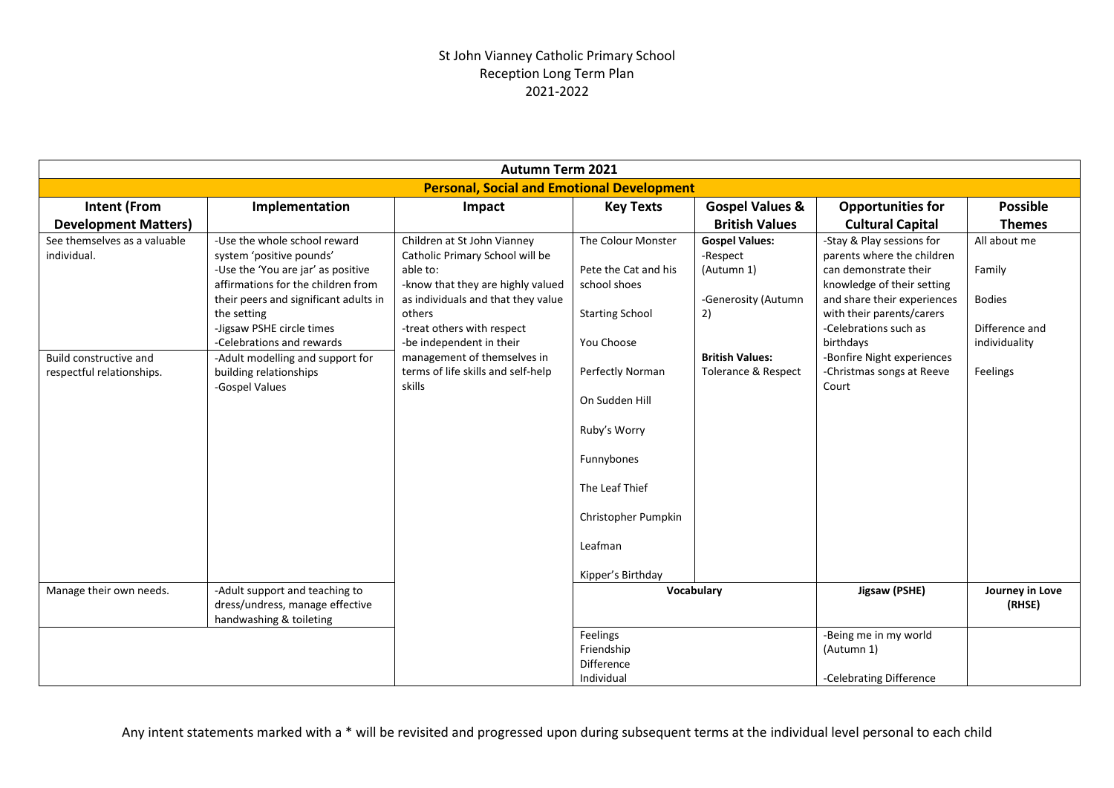|                                                                                                    | <b>Autumn Term 2021</b>                                                                                                                                                                                                                                                                                                                |                                                                                                                                                                                                                                                                                                          |                                                                                                                                                                                                                                                 |                                                                                                                               |                                                                                                                                                                                                                                                                                      |                                                                                        |  |  |
|----------------------------------------------------------------------------------------------------|----------------------------------------------------------------------------------------------------------------------------------------------------------------------------------------------------------------------------------------------------------------------------------------------------------------------------------------|----------------------------------------------------------------------------------------------------------------------------------------------------------------------------------------------------------------------------------------------------------------------------------------------------------|-------------------------------------------------------------------------------------------------------------------------------------------------------------------------------------------------------------------------------------------------|-------------------------------------------------------------------------------------------------------------------------------|--------------------------------------------------------------------------------------------------------------------------------------------------------------------------------------------------------------------------------------------------------------------------------------|----------------------------------------------------------------------------------------|--|--|
|                                                                                                    |                                                                                                                                                                                                                                                                                                                                        | <b>Personal, Social and Emotional Development</b>                                                                                                                                                                                                                                                        |                                                                                                                                                                                                                                                 |                                                                                                                               |                                                                                                                                                                                                                                                                                      |                                                                                        |  |  |
| <b>Intent (From</b>                                                                                | Implementation                                                                                                                                                                                                                                                                                                                         | Impact                                                                                                                                                                                                                                                                                                   | <b>Key Texts</b>                                                                                                                                                                                                                                | <b>Gospel Values &amp;</b>                                                                                                    | <b>Opportunities for</b>                                                                                                                                                                                                                                                             | <b>Possible</b>                                                                        |  |  |
| <b>Development Matters)</b>                                                                        |                                                                                                                                                                                                                                                                                                                                        |                                                                                                                                                                                                                                                                                                          |                                                                                                                                                                                                                                                 | <b>British Values</b>                                                                                                         | <b>Cultural Capital</b>                                                                                                                                                                                                                                                              | <b>Themes</b>                                                                          |  |  |
| See themselves as a valuable<br>individual.<br>Build constructive and<br>respectful relationships. | -Use the whole school reward<br>system 'positive pounds'<br>-Use the 'You are jar' as positive<br>affirmations for the children from<br>their peers and significant adults in<br>the setting<br>-Jigsaw PSHE circle times<br>-Celebrations and rewards<br>-Adult modelling and support for<br>building relationships<br>-Gospel Values | Children at St John Vianney<br>Catholic Primary School will be<br>able to:<br>-know that they are highly valued<br>as individuals and that they value<br>others<br>-treat others with respect<br>-be independent in their<br>management of themselves in<br>terms of life skills and self-help<br>skills | The Colour Monster<br>Pete the Cat and his<br>school shoes<br><b>Starting School</b><br>You Choose<br>Perfectly Norman<br>On Sudden Hill<br>Ruby's Worry<br>Funnybones<br>The Leaf Thief<br>Christopher Pumpkin<br>Leafman<br>Kipper's Birthday | <b>Gospel Values:</b><br>-Respect<br>(Autumn 1)<br>-Generosity (Autumn<br>2)<br><b>British Values:</b><br>Tolerance & Respect | -Stay & Play sessions for<br>parents where the children<br>can demonstrate their<br>knowledge of their setting<br>and share their experiences<br>with their parents/carers<br>-Celebrations such as<br>birthdays<br>-Bonfire Night experiences<br>-Christmas songs at Reeve<br>Court | All about me<br>Family<br><b>Bodies</b><br>Difference and<br>individuality<br>Feelings |  |  |
| Manage their own needs.                                                                            | -Adult support and teaching to<br>dress/undress, manage effective<br>handwashing & toileting                                                                                                                                                                                                                                           |                                                                                                                                                                                                                                                                                                          | Vocabulary                                                                                                                                                                                                                                      |                                                                                                                               | Jigsaw (PSHE)                                                                                                                                                                                                                                                                        | Journey in Love<br>(RHSE)                                                              |  |  |
|                                                                                                    |                                                                                                                                                                                                                                                                                                                                        |                                                                                                                                                                                                                                                                                                          | Feelings<br>Friendship<br><b>Difference</b><br>Individual                                                                                                                                                                                       |                                                                                                                               | -Being me in my world<br>(Autumn 1)<br>-Celebrating Difference                                                                                                                                                                                                                       |                                                                                        |  |  |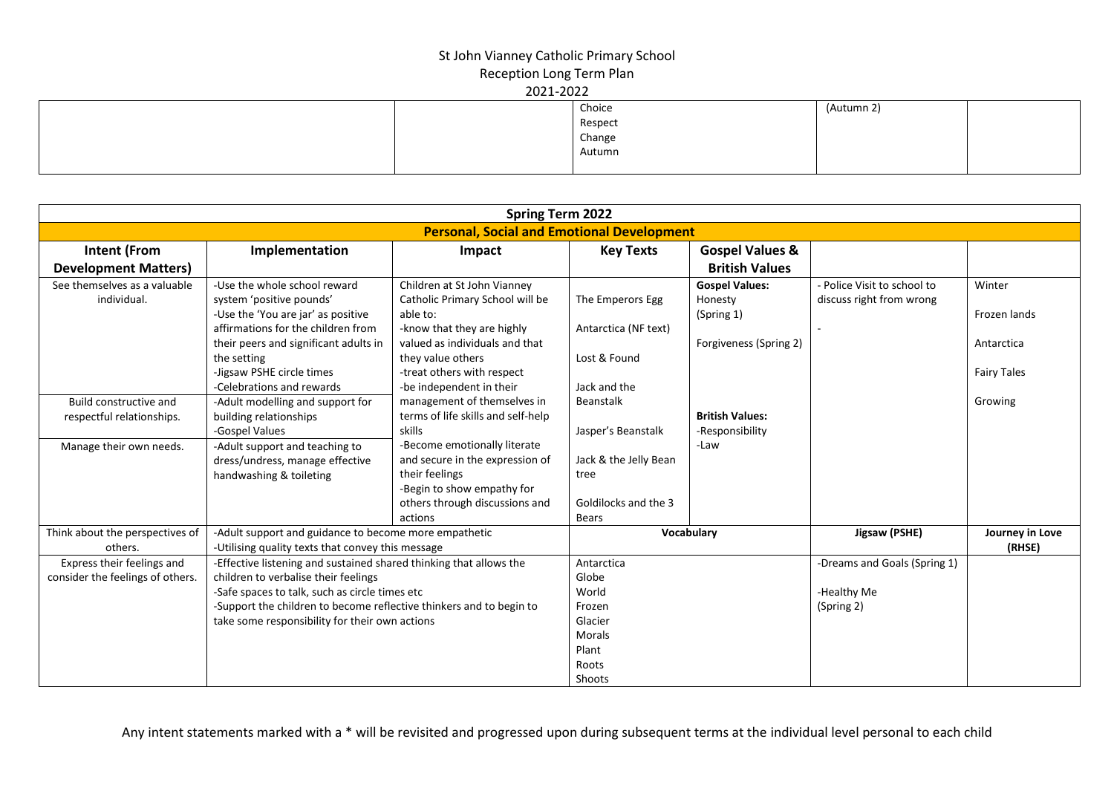|  | Choice  | (Autumn 2) |  |
|--|---------|------------|--|
|  | Respect |            |  |
|  | Change  |            |  |
|  | Autumn  |            |  |
|  |         |            |  |

| <b>Spring Term 2022</b>                                        |                                                                                                                                                                                                                                                                                       |                                                                                                                                                                                                                           |                                                                                         |                                                                          |                                                           |                                                            |  |  |
|----------------------------------------------------------------|---------------------------------------------------------------------------------------------------------------------------------------------------------------------------------------------------------------------------------------------------------------------------------------|---------------------------------------------------------------------------------------------------------------------------------------------------------------------------------------------------------------------------|-----------------------------------------------------------------------------------------|--------------------------------------------------------------------------|-----------------------------------------------------------|------------------------------------------------------------|--|--|
|                                                                |                                                                                                                                                                                                                                                                                       | <b>Personal, Social and Emotional Development</b>                                                                                                                                                                         |                                                                                         |                                                                          |                                                           |                                                            |  |  |
| <b>Intent (From</b><br><b>Development Matters)</b>             | Implementation                                                                                                                                                                                                                                                                        | Impact                                                                                                                                                                                                                    | <b>Key Texts</b>                                                                        | <b>Gospel Values &amp;</b><br><b>British Values</b>                      |                                                           |                                                            |  |  |
| See themselves as a valuable<br>individual.                    | -Use the whole school reward<br>system 'positive pounds'<br>-Use the 'You are jar' as positive<br>affirmations for the children from<br>their peers and significant adults in<br>the setting<br>-Jigsaw PSHE circle times<br>-Celebrations and rewards                                | Children at St John Vianney<br>Catholic Primary School will be<br>able to:<br>-know that they are highly<br>valued as individuals and that<br>they value others<br>-treat others with respect<br>-be independent in their | The Emperors Egg<br>Antarctica (NF text)<br>Lost & Found<br>Jack and the                | <b>Gospel Values:</b><br>Honesty<br>(Spring 1)<br>Forgiveness (Spring 2) | - Police Visit to school to<br>discuss right from wrong   | Winter<br>Frozen lands<br>Antarctica<br><b>Fairy Tales</b> |  |  |
| Build constructive and<br>respectful relationships.            | -Adult modelling and support for<br>building relationships<br>-Gospel Values                                                                                                                                                                                                          | management of themselves in<br>terms of life skills and self-help<br>skills                                                                                                                                               | Beanstalk<br>Jasper's Beanstalk                                                         | <b>British Values:</b><br>-Responsibility                                |                                                           | Growing                                                    |  |  |
| Manage their own needs.                                        | -Adult support and teaching to<br>dress/undress, manage effective<br>handwashing & toileting                                                                                                                                                                                          | -Become emotionally literate<br>and secure in the expression of<br>their feelings<br>-Begin to show empathy for<br>others through discussions and<br>actions                                                              | Jack & the Jelly Bean<br>tree<br>Goldilocks and the 3<br><b>Bears</b>                   | -Law                                                                     |                                                           |                                                            |  |  |
| Think about the perspectives of<br>others.                     | -Adult support and guidance to become more empathetic<br>-Utilising quality texts that convey this message                                                                                                                                                                            |                                                                                                                                                                                                                           |                                                                                         | Vocabulary                                                               | Jigsaw (PSHE)                                             | Journey in Love<br>(RHSE)                                  |  |  |
| Express their feelings and<br>consider the feelings of others. | -Effective listening and sustained shared thinking that allows the<br>children to verbalise their feelings<br>-Safe spaces to talk, such as circle times etc<br>-Support the children to become reflective thinkers and to begin to<br>take some responsibility for their own actions |                                                                                                                                                                                                                           | Antarctica<br>Globe<br>World<br>Frozen<br>Glacier<br>Morals<br>Plant<br>Roots<br>Shoots |                                                                          | -Dreams and Goals (Spring 1)<br>-Healthy Me<br>(Spring 2) |                                                            |  |  |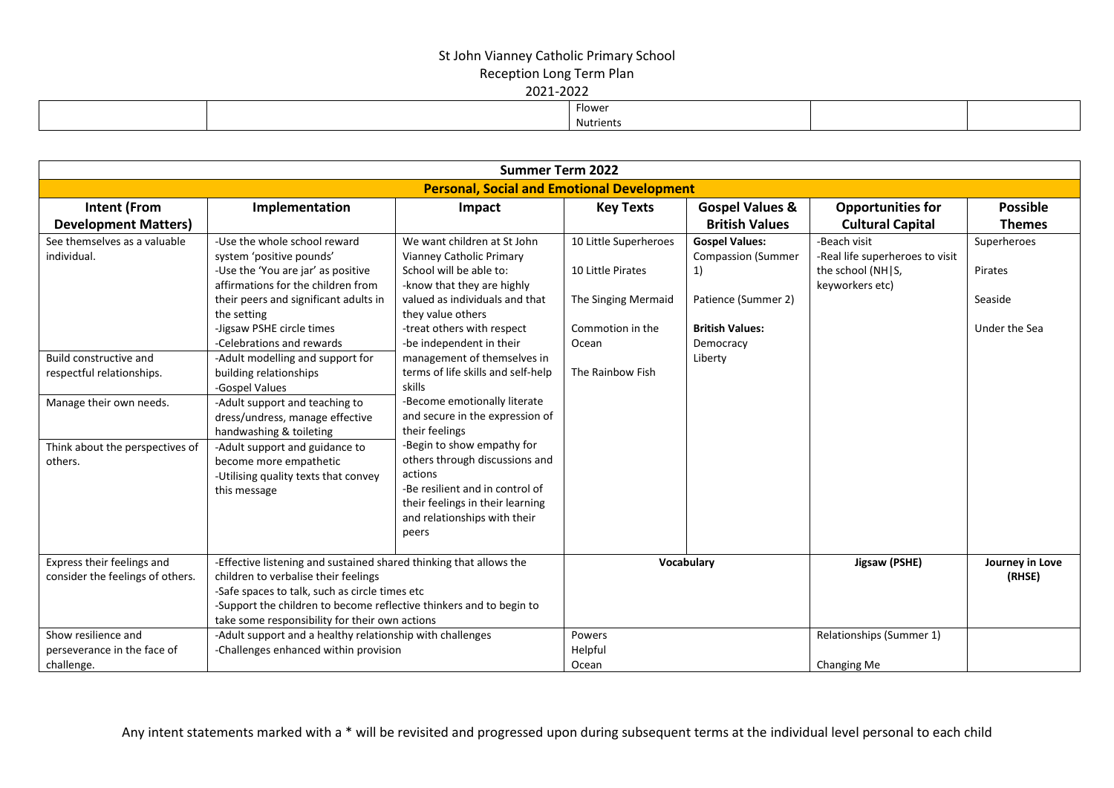| ________ |  |           |  |  |  |  |  |  |  |
|----------|--|-----------|--|--|--|--|--|--|--|
|          |  | Flower    |  |  |  |  |  |  |  |
|          |  | Nutrients |  |  |  |  |  |  |  |

|                                                                  |                                                                                                                                                                                                                                                                                       | <b>Summer Term 2022</b>                                                                                                                                                                                                           |                                                                                                |                                                                                                                        |                                                                                         |                                                    |
|------------------------------------------------------------------|---------------------------------------------------------------------------------------------------------------------------------------------------------------------------------------------------------------------------------------------------------------------------------------|-----------------------------------------------------------------------------------------------------------------------------------------------------------------------------------------------------------------------------------|------------------------------------------------------------------------------------------------|------------------------------------------------------------------------------------------------------------------------|-----------------------------------------------------------------------------------------|----------------------------------------------------|
|                                                                  |                                                                                                                                                                                                                                                                                       | <b>Personal, Social and Emotional Development</b>                                                                                                                                                                                 |                                                                                                |                                                                                                                        |                                                                                         |                                                    |
| <b>Intent (From</b><br><b>Development Matters)</b>               | Implementation                                                                                                                                                                                                                                                                        | Impact                                                                                                                                                                                                                            | <b>Key Texts</b>                                                                               | <b>Gospel Values &amp;</b><br><b>British Values</b>                                                                    | <b>Opportunities for</b><br><b>Cultural Capital</b>                                     | <b>Possible</b><br><b>Themes</b>                   |
| See themselves as a valuable<br>individual.                      | -Use the whole school reward<br>system 'positive pounds'<br>-Use the 'You are jar' as positive<br>affirmations for the children from<br>their peers and significant adults in<br>the setting<br>-Jigsaw PSHE circle times<br>-Celebrations and rewards                                | We want children at St John<br>Vianney Catholic Primary<br>School will be able to:<br>-know that they are highly<br>valued as individuals and that<br>they value others<br>-treat others with respect<br>-be independent in their | 10 Little Superheroes<br>10 Little Pirates<br>The Singing Mermaid<br>Commotion in the<br>Ocean | <b>Gospel Values:</b><br><b>Compassion (Summer</b><br>1)<br>Patience (Summer 2)<br><b>British Values:</b><br>Democracy | -Beach visit<br>-Real life superheroes to visit<br>the school (NH S,<br>keyworkers etc) | Superheroes<br>Pirates<br>Seaside<br>Under the Sea |
| Build constructive and<br>respectful relationships.              | -Adult modelling and support for<br>building relationships<br>-Gospel Values                                                                                                                                                                                                          | management of themselves in<br>terms of life skills and self-help<br>skills                                                                                                                                                       | The Rainbow Fish                                                                               | Liberty                                                                                                                |                                                                                         |                                                    |
| Manage their own needs.                                          | -Adult support and teaching to<br>dress/undress, manage effective<br>handwashing & toileting                                                                                                                                                                                          | -Become emotionally literate<br>and secure in the expression of<br>their feelings                                                                                                                                                 |                                                                                                |                                                                                                                        |                                                                                         |                                                    |
| Think about the perspectives of<br>others.                       | -Adult support and guidance to<br>become more empathetic<br>-Utilising quality texts that convey<br>this message                                                                                                                                                                      | -Begin to show empathy for<br>others through discussions and<br>actions<br>-Be resilient and in control of<br>their feelings in their learning<br>and relationships with their<br>peers                                           |                                                                                                |                                                                                                                        |                                                                                         |                                                    |
| Express their feelings and<br>consider the feelings of others.   | -Effective listening and sustained shared thinking that allows the<br>children to verbalise their feelings<br>-Safe spaces to talk, such as circle times etc<br>-Support the children to become reflective thinkers and to begin to<br>take some responsibility for their own actions |                                                                                                                                                                                                                                   |                                                                                                | Vocabulary                                                                                                             | Jigsaw (PSHE)                                                                           | Journey in Love<br>(RHSE)                          |
| Show resilience and<br>perseverance in the face of<br>challenge. | -Adult support and a healthy relationship with challenges<br>-Challenges enhanced within provision                                                                                                                                                                                    |                                                                                                                                                                                                                                   | Powers<br>Helpful<br>Ocean                                                                     |                                                                                                                        | Relationships (Summer 1)<br>Changing Me                                                 |                                                    |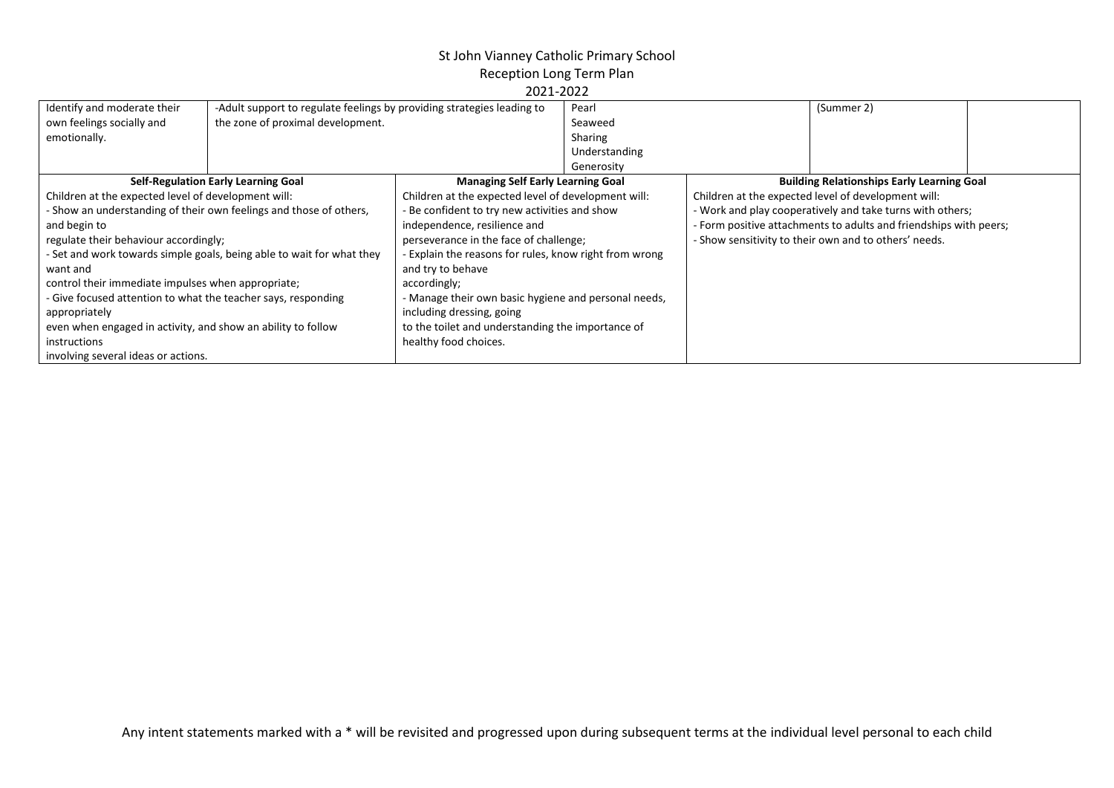## St John Vianney Catholic Primary School

Reception Long Term Plan

| 2021-2022 |  |
|-----------|--|
|           |  |

| Identify and moderate their                                                                                       | -Adult support to regulate feelings by providing strategies leading to |                                                        | Pearl         |                                                                   | (Summer 2)                                          |
|-------------------------------------------------------------------------------------------------------------------|------------------------------------------------------------------------|--------------------------------------------------------|---------------|-------------------------------------------------------------------|-----------------------------------------------------|
| own feelings socially and                                                                                         | the zone of proximal development.                                      |                                                        | Seaweed       |                                                                   |                                                     |
| emotionally.                                                                                                      |                                                                        |                                                        | Sharing       |                                                                   |                                                     |
|                                                                                                                   |                                                                        |                                                        | Understanding |                                                                   |                                                     |
|                                                                                                                   |                                                                        |                                                        | Generosity    |                                                                   |                                                     |
|                                                                                                                   | <b>Self-Regulation Early Learning Goal</b>                             | <b>Managing Self Early Learning Goal</b>               |               |                                                                   | <b>Building Relationships Early Learning Goal</b>   |
| Children at the expected level of development will:                                                               |                                                                        | Children at the expected level of development will:    |               |                                                                   | Children at the expected level of development will: |
|                                                                                                                   | - Show an understanding of their own feelings and those of others,     | Be confident to try new activities and show            |               | - Work and play cooperatively and take turns with others;         |                                                     |
| and begin to                                                                                                      |                                                                        | independence, resilience and                           |               | - Form positive attachments to adults and friendships with peers; |                                                     |
| regulate their behaviour accordingly;                                                                             |                                                                        | perseverance in the face of challenge;                 |               | - Show sensitivity to their own and to others' needs.             |                                                     |
|                                                                                                                   | - Set and work towards simple goals, being able to wait for what they  | - Explain the reasons for rules, know right from wrong |               |                                                                   |                                                     |
| want and                                                                                                          |                                                                        | and try to behave                                      |               |                                                                   |                                                     |
| control their immediate impulses when appropriate;                                                                |                                                                        | accordingly;                                           |               |                                                                   |                                                     |
| - Give focused attention to what the teacher says, responding                                                     |                                                                        | - Manage their own basic hygiene and personal needs,   |               |                                                                   |                                                     |
| appropriately                                                                                                     |                                                                        | including dressing, going                              |               |                                                                   |                                                     |
| even when engaged in activity, and show an ability to follow<br>to the toilet and understanding the importance of |                                                                        |                                                        |               |                                                                   |                                                     |
| instructions                                                                                                      |                                                                        | healthy food choices.                                  |               |                                                                   |                                                     |
| involving several ideas or actions.                                                                               |                                                                        |                                                        |               |                                                                   |                                                     |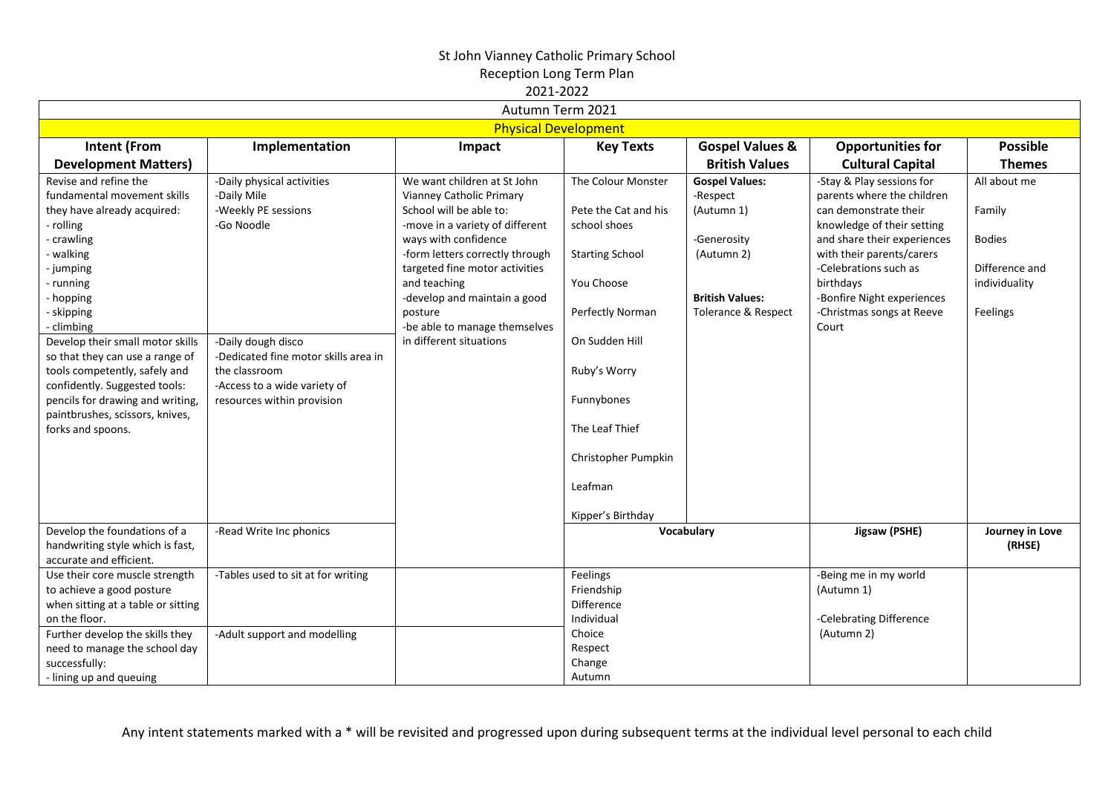| Autumn Term 2021                                                                                                                                                                                                                                                                                                                                                                                                                    |                                                                                                                                                                                                                             |                                                                                                                                                                                                                                                                                                                                           |                                                                                                                                                                                                                            |                                                                                                                               |                                                                                                                                                                                                                                                                                      |                                                                                        |  |  |  |
|-------------------------------------------------------------------------------------------------------------------------------------------------------------------------------------------------------------------------------------------------------------------------------------------------------------------------------------------------------------------------------------------------------------------------------------|-----------------------------------------------------------------------------------------------------------------------------------------------------------------------------------------------------------------------------|-------------------------------------------------------------------------------------------------------------------------------------------------------------------------------------------------------------------------------------------------------------------------------------------------------------------------------------------|----------------------------------------------------------------------------------------------------------------------------------------------------------------------------------------------------------------------------|-------------------------------------------------------------------------------------------------------------------------------|--------------------------------------------------------------------------------------------------------------------------------------------------------------------------------------------------------------------------------------------------------------------------------------|----------------------------------------------------------------------------------------|--|--|--|
|                                                                                                                                                                                                                                                                                                                                                                                                                                     |                                                                                                                                                                                                                             | <b>Physical Development</b>                                                                                                                                                                                                                                                                                                               |                                                                                                                                                                                                                            |                                                                                                                               |                                                                                                                                                                                                                                                                                      |                                                                                        |  |  |  |
| <b>Intent (From</b><br><b>Development Matters)</b>                                                                                                                                                                                                                                                                                                                                                                                  | Implementation                                                                                                                                                                                                              | Impact                                                                                                                                                                                                                                                                                                                                    | <b>Key Texts</b>                                                                                                                                                                                                           | <b>Gospel Values &amp;</b><br><b>British Values</b>                                                                           | <b>Opportunities for</b><br><b>Cultural Capital</b>                                                                                                                                                                                                                                  | <b>Possible</b><br><b>Themes</b>                                                       |  |  |  |
| Revise and refine the<br>fundamental movement skills<br>they have already acquired:<br>- rolling<br>- crawling<br>- walking<br>- jumping<br>- running<br>- hopping<br>- skipping<br>- climbing<br>Develop their small motor skills<br>so that they can use a range of<br>tools competently, safely and<br>confidently. Suggested tools:<br>pencils for drawing and writing,<br>paintbrushes, scissors, knives,<br>forks and spoons. | -Daily physical activities<br>-Daily Mile<br>-Weekly PE sessions<br>-Go Noodle<br>-Daily dough disco<br>-Dedicated fine motor skills area in<br>the classroom<br>-Access to a wide variety of<br>resources within provision | We want children at St John<br>Vianney Catholic Primary<br>School will be able to:<br>-move in a variety of different<br>ways with confidence<br>-form letters correctly through<br>targeted fine motor activities<br>and teaching<br>-develop and maintain a good<br>posture<br>-be able to manage themselves<br>in different situations | The Colour Monster<br>Pete the Cat and his<br>school shoes<br><b>Starting School</b><br>You Choose<br>Perfectly Norman<br>On Sudden Hill<br>Ruby's Worry<br>Funnybones<br>The Leaf Thief<br>Christopher Pumpkin<br>Leafman | <b>Gospel Values:</b><br>-Respect<br>(Autumn 1)<br>-Generosity<br>(Autumn 2)<br><b>British Values:</b><br>Tolerance & Respect | -Stay & Play sessions for<br>parents where the children<br>can demonstrate their<br>knowledge of their setting<br>and share their experiences<br>with their parents/carers<br>-Celebrations such as<br>birthdays<br>-Bonfire Night experiences<br>-Christmas songs at Reeve<br>Court | All about me<br>Family<br><b>Bodies</b><br>Difference and<br>individuality<br>Feelings |  |  |  |
| Develop the foundations of a<br>handwriting style which is fast,<br>accurate and efficient.                                                                                                                                                                                                                                                                                                                                         | -Read Write Inc phonics                                                                                                                                                                                                     |                                                                                                                                                                                                                                                                                                                                           | Kipper's Birthday                                                                                                                                                                                                          | Vocabulary                                                                                                                    | Jigsaw (PSHE)                                                                                                                                                                                                                                                                        | Journey in Love<br>(RHSE)                                                              |  |  |  |
| Use their core muscle strength<br>to achieve a good posture<br>when sitting at a table or sitting<br>on the floor.<br>Further develop the skills they<br>need to manage the school day<br>successfully:<br>- lining up and queuing                                                                                                                                                                                                  | -Tables used to sit at for writing<br>-Adult support and modelling                                                                                                                                                          |                                                                                                                                                                                                                                                                                                                                           | Feelings<br>Friendship<br>Difference<br>Individual<br>Choice<br>Respect<br>Change<br>Autumn                                                                                                                                |                                                                                                                               | -Being me in my world<br>(Autumn 1)<br>-Celebrating Difference<br>(Autumn 2)                                                                                                                                                                                                         |                                                                                        |  |  |  |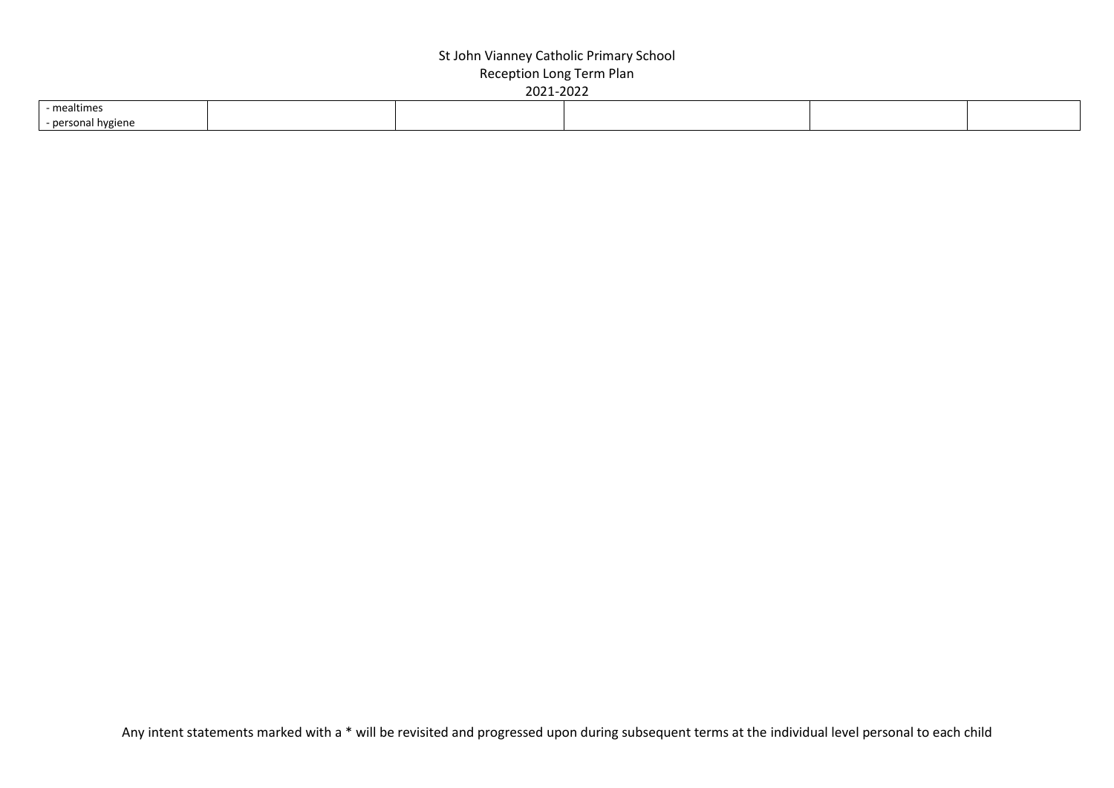| - mealtimes                          |  |  |  |
|--------------------------------------|--|--|--|
| - nerson<br>nvgien <sup>2</sup><br>. |  |  |  |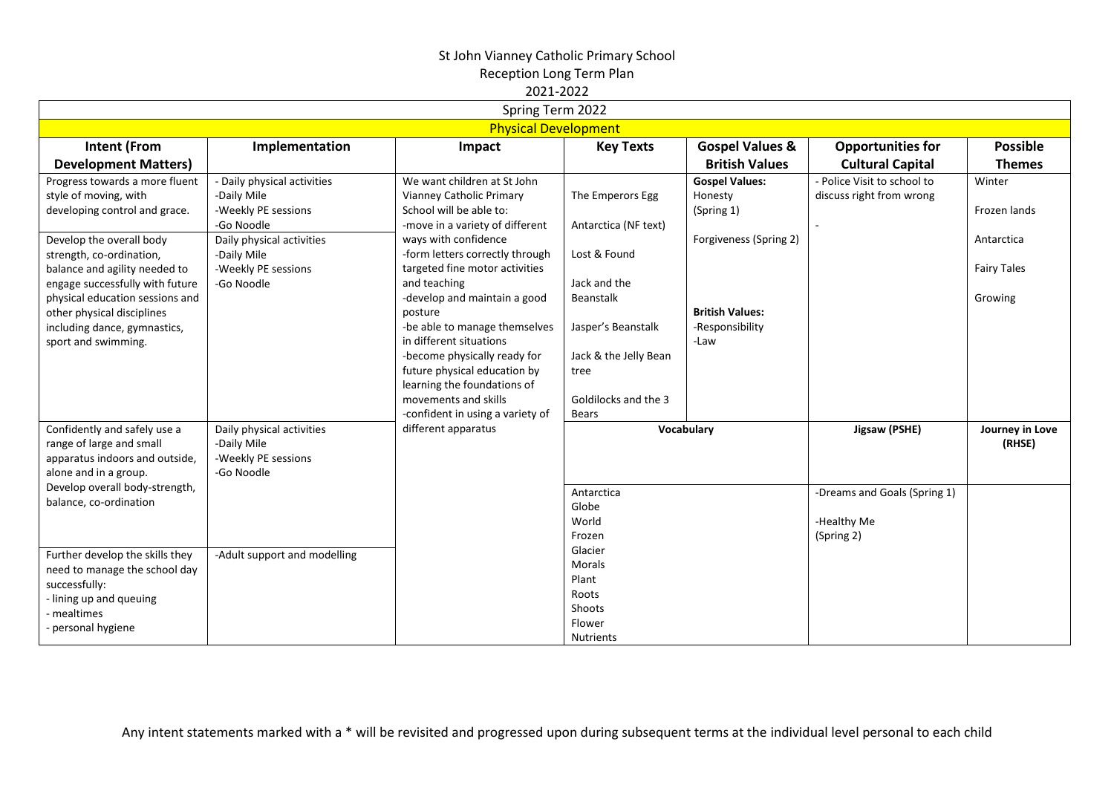| Spring Term 2022                                                                                                                                                                                                                                                                                                                             |                                                                                                                                                                  |                                                                                                                                                                                                                                                                                                                                                                                                                                                                                                      |                                                                                                                                                                               |                                                                                                                               |                                                           |                                                                       |  |  |  |
|----------------------------------------------------------------------------------------------------------------------------------------------------------------------------------------------------------------------------------------------------------------------------------------------------------------------------------------------|------------------------------------------------------------------------------------------------------------------------------------------------------------------|------------------------------------------------------------------------------------------------------------------------------------------------------------------------------------------------------------------------------------------------------------------------------------------------------------------------------------------------------------------------------------------------------------------------------------------------------------------------------------------------------|-------------------------------------------------------------------------------------------------------------------------------------------------------------------------------|-------------------------------------------------------------------------------------------------------------------------------|-----------------------------------------------------------|-----------------------------------------------------------------------|--|--|--|
|                                                                                                                                                                                                                                                                                                                                              | <b>Physical Development</b>                                                                                                                                      |                                                                                                                                                                                                                                                                                                                                                                                                                                                                                                      |                                                                                                                                                                               |                                                                                                                               |                                                           |                                                                       |  |  |  |
| <b>Intent (From</b>                                                                                                                                                                                                                                                                                                                          | Implementation                                                                                                                                                   | Impact                                                                                                                                                                                                                                                                                                                                                                                                                                                                                               | <b>Key Texts</b>                                                                                                                                                              | <b>Gospel Values &amp;</b>                                                                                                    | <b>Opportunities for</b>                                  | <b>Possible</b>                                                       |  |  |  |
| <b>Development Matters)</b>                                                                                                                                                                                                                                                                                                                  |                                                                                                                                                                  |                                                                                                                                                                                                                                                                                                                                                                                                                                                                                                      |                                                                                                                                                                               | <b>British Values</b>                                                                                                         | <b>Cultural Capital</b>                                   | <b>Themes</b>                                                         |  |  |  |
| Progress towards a more fluent<br>style of moving, with<br>developing control and grace.<br>Develop the overall body<br>strength, co-ordination,<br>balance and agility needed to<br>engage successfully with future<br>physical education sessions and<br>other physical disciplines<br>including dance, gymnastics,<br>sport and swimming. | - Daily physical activities<br>-Daily Mile<br>-Weekly PE sessions<br>-Go Noodle<br>Daily physical activities<br>-Daily Mile<br>-Weekly PE sessions<br>-Go Noodle | We want children at St John<br>Vianney Catholic Primary<br>School will be able to:<br>-move in a variety of different<br>ways with confidence<br>-form letters correctly through<br>targeted fine motor activities<br>and teaching<br>-develop and maintain a good<br>posture<br>-be able to manage themselves<br>in different situations<br>-become physically ready for<br>future physical education by<br>learning the foundations of<br>movements and skills<br>-confident in using a variety of | The Emperors Egg<br>Antarctica (NF text)<br>Lost & Found<br>Jack and the<br>Beanstalk<br>Jasper's Beanstalk<br>Jack & the Jelly Bean<br>tree<br>Goldilocks and the 3<br>Bears | <b>Gospel Values:</b><br>Honesty<br>(Spring 1)<br>Forgiveness (Spring 2)<br><b>British Values:</b><br>-Responsibility<br>-Law | - Police Visit to school to<br>discuss right from wrong   | Winter<br>Frozen lands<br>Antarctica<br><b>Fairy Tales</b><br>Growing |  |  |  |
| Confidently and safely use a<br>range of large and small<br>apparatus indoors and outside,<br>alone and in a group.                                                                                                                                                                                                                          | Daily physical activities<br>-Daily Mile<br>-Weekly PE sessions<br>-Go Noodle                                                                                    | different apparatus                                                                                                                                                                                                                                                                                                                                                                                                                                                                                  |                                                                                                                                                                               | Vocabulary                                                                                                                    | Jigsaw (PSHE)                                             | Journey in Love<br>(RHSE)                                             |  |  |  |
| Develop overall body-strength,<br>balance, co-ordination<br>Further develop the skills they                                                                                                                                                                                                                                                  | -Adult support and modelling                                                                                                                                     |                                                                                                                                                                                                                                                                                                                                                                                                                                                                                                      | Antarctica<br>Globe<br>World<br>Frozen<br>Glacier                                                                                                                             |                                                                                                                               | -Dreams and Goals (Spring 1)<br>-Healthy Me<br>(Spring 2) |                                                                       |  |  |  |
| need to manage the school day<br>successfully:<br>- lining up and queuing<br>- mealtimes<br>- personal hygiene                                                                                                                                                                                                                               |                                                                                                                                                                  |                                                                                                                                                                                                                                                                                                                                                                                                                                                                                                      | <b>Morals</b><br>Plant<br>Roots<br>Shoots<br>Flower<br><b>Nutrients</b>                                                                                                       |                                                                                                                               |                                                           |                                                                       |  |  |  |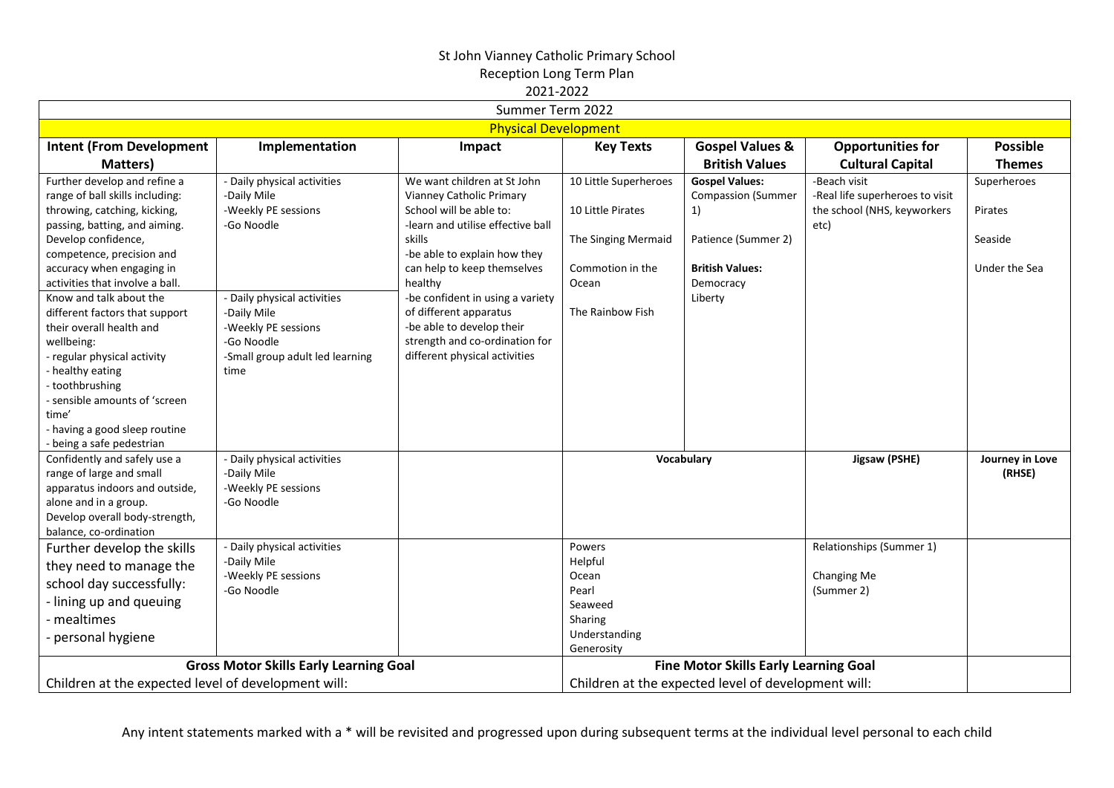$2021.2022$ 

|                                                     |                                               | 2021-2022                         |                       |                                                     |                                 |                 |
|-----------------------------------------------------|-----------------------------------------------|-----------------------------------|-----------------------|-----------------------------------------------------|---------------------------------|-----------------|
|                                                     |                                               | Summer Term 2022                  |                       |                                                     |                                 |                 |
|                                                     |                                               | <b>Physical Development</b>       |                       |                                                     |                                 |                 |
| <b>Intent (From Development</b>                     | Implementation                                | Impact                            | <b>Key Texts</b>      | <b>Gospel Values &amp;</b>                          | <b>Opportunities for</b>        | <b>Possible</b> |
| Matters)                                            |                                               |                                   |                       | <b>British Values</b>                               | <b>Cultural Capital</b>         | <b>Themes</b>   |
| Further develop and refine a                        | - Daily physical activities                   | We want children at St John       | 10 Little Superheroes | <b>Gospel Values:</b>                               | -Beach visit                    | Superheroes     |
| range of ball skills including:                     | -Daily Mile                                   | Vianney Catholic Primary          |                       | <b>Compassion (Summer</b>                           | -Real life superheroes to visit |                 |
| throwing, catching, kicking,                        | -Weekly PE sessions                           | School will be able to:           | 10 Little Pirates     | 1)                                                  | the school (NHS, keyworkers     | Pirates         |
| passing, batting, and aiming.                       | -Go Noodle                                    | -learn and utilise effective ball |                       |                                                     | etc)                            |                 |
| Develop confidence,                                 |                                               | skills                            | The Singing Mermaid   | Patience (Summer 2)                                 |                                 | Seaside         |
| competence, precision and                           |                                               | -be able to explain how they      |                       |                                                     |                                 |                 |
| accuracy when engaging in                           |                                               | can help to keep themselves       | Commotion in the      | <b>British Values:</b>                              |                                 | Under the Sea   |
| activities that involve a ball.                     |                                               | healthy                           | Ocean                 | Democracy                                           |                                 |                 |
| Know and talk about the                             | - Daily physical activities                   | -be confident in using a variety  |                       | Liberty                                             |                                 |                 |
| different factors that support                      | -Daily Mile                                   | of different apparatus            | The Rainbow Fish      |                                                     |                                 |                 |
| their overall health and                            | -Weekly PE sessions                           | -be able to develop their         |                       |                                                     |                                 |                 |
| wellbeing:                                          | -Go Noodle                                    | strength and co-ordination for    |                       |                                                     |                                 |                 |
| - regular physical activity                         | -Small group adult led learning               | different physical activities     |                       |                                                     |                                 |                 |
| - healthy eating                                    | time                                          |                                   |                       |                                                     |                                 |                 |
| - toothbrushing                                     |                                               |                                   |                       |                                                     |                                 |                 |
| - sensible amounts of 'screen<br>time'              |                                               |                                   |                       |                                                     |                                 |                 |
| - having a good sleep routine                       |                                               |                                   |                       |                                                     |                                 |                 |
| - being a safe pedestrian                           |                                               |                                   |                       |                                                     |                                 |                 |
| Confidently and safely use a                        | - Daily physical activities                   |                                   |                       | Vocabulary                                          | Jigsaw (PSHE)                   | Journey in Love |
| range of large and small                            | -Daily Mile                                   |                                   |                       |                                                     |                                 | (RHSE)          |
| apparatus indoors and outside,                      | -Weekly PE sessions                           |                                   |                       |                                                     |                                 |                 |
| alone and in a group.                               | -Go Noodle                                    |                                   |                       |                                                     |                                 |                 |
| Develop overall body-strength,                      |                                               |                                   |                       |                                                     |                                 |                 |
| balance, co-ordination                              |                                               |                                   |                       |                                                     |                                 |                 |
| Further develop the skills                          | - Daily physical activities                   |                                   | Powers                |                                                     | Relationships (Summer 1)        |                 |
| they need to manage the                             | -Daily Mile                                   |                                   | Helpful               |                                                     |                                 |                 |
| school day successfully:                            | -Weekly PE sessions                           |                                   | Ocean                 |                                                     | Changing Me                     |                 |
|                                                     | -Go Noodle                                    |                                   | Pearl                 |                                                     | (Summer 2)                      |                 |
| - lining up and queuing                             |                                               |                                   | Seaweed               |                                                     |                                 |                 |
| - mealtimes                                         |                                               |                                   | Sharing               |                                                     |                                 |                 |
| - personal hygiene                                  |                                               |                                   | Understanding         |                                                     |                                 |                 |
|                                                     |                                               |                                   | Generosity            |                                                     |                                 |                 |
|                                                     | <b>Gross Motor Skills Early Learning Goal</b> |                                   |                       | <b>Fine Motor Skills Early Learning Goal</b>        |                                 |                 |
| Children at the expected level of development will: |                                               |                                   |                       | Children at the expected level of development will: |                                 |                 |

Any intent statements marked with a \* will be revisited and progressed upon during subsequent terms at the individual level personal to each child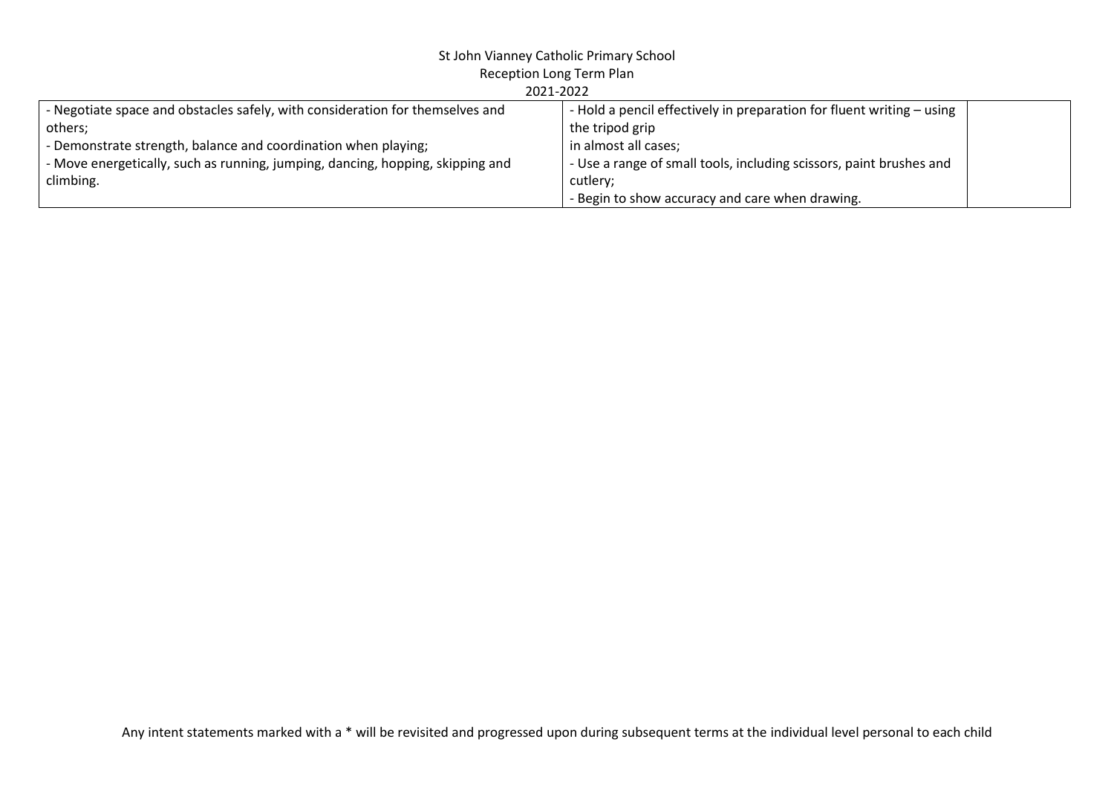## St John Vianney Catholic Primary School

| Reception Long Term Plan |  |  |  |
|--------------------------|--|--|--|
|--------------------------|--|--|--|

| 2021-2022 |  |
|-----------|--|

| LULI LULL                                                                      |                                                                       |  |  |  |  |  |
|--------------------------------------------------------------------------------|-----------------------------------------------------------------------|--|--|--|--|--|
| - Negotiate space and obstacles safely, with consideration for themselves and  | - Hold a pencil effectively in preparation for fluent writing – using |  |  |  |  |  |
| others:                                                                        | the tripod grip                                                       |  |  |  |  |  |
| - Demonstrate strength, balance and coordination when playing;                 | in almost all cases;                                                  |  |  |  |  |  |
| - Move energetically, such as running, jumping, dancing, hopping, skipping and | - Use a range of small tools, including scissors, paint brushes and   |  |  |  |  |  |
| climbing.                                                                      | cutlery;                                                              |  |  |  |  |  |
|                                                                                | - Begin to show accuracy and care when drawing.                       |  |  |  |  |  |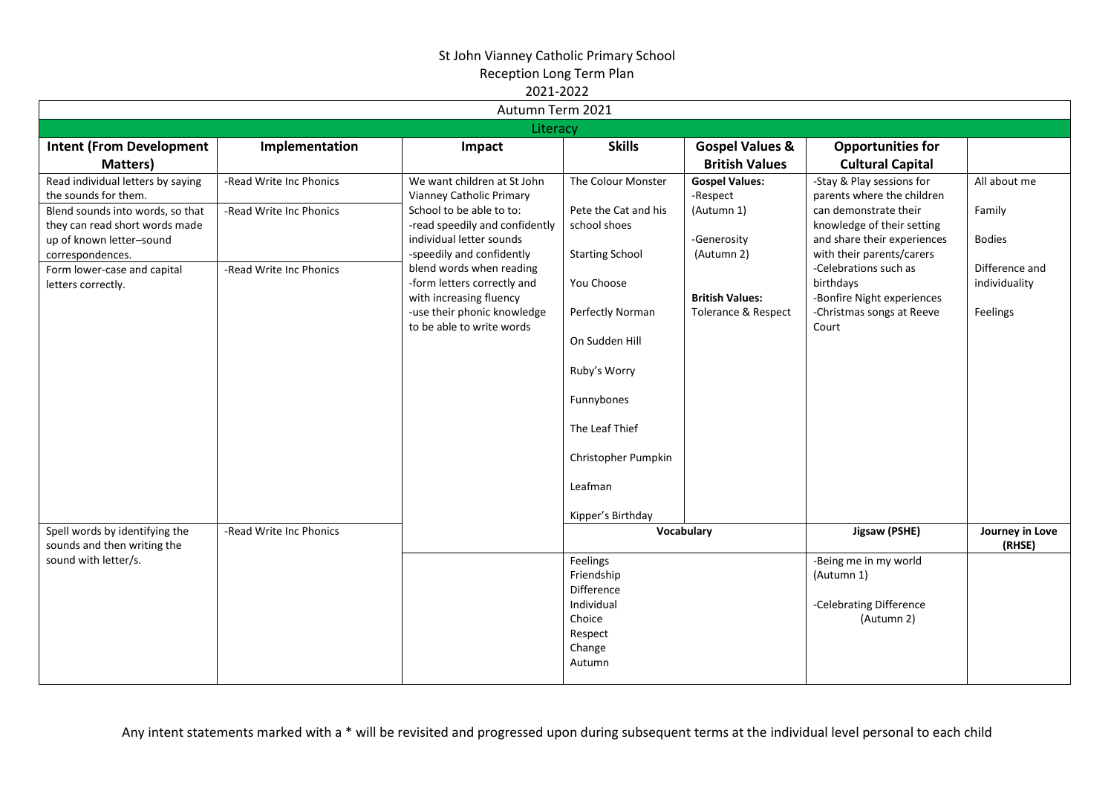|                                                               |                         | ZUZI-ZUZZ                      |                        |                                |                             |                           |  |  |
|---------------------------------------------------------------|-------------------------|--------------------------------|------------------------|--------------------------------|-----------------------------|---------------------------|--|--|
| Autumn Term 2021                                              |                         |                                |                        |                                |                             |                           |  |  |
|                                                               |                         | Literacy                       |                        |                                |                             |                           |  |  |
| <b>Intent (From Development</b>                               | Implementation          | Impact                         | <b>Skills</b>          | <b>Gospel Values &amp;</b>     | <b>Opportunities for</b>    |                           |  |  |
| Matters)                                                      |                         |                                |                        | <b>British Values</b>          | <b>Cultural Capital</b>     |                           |  |  |
| Read individual letters by saying                             | -Read Write Inc Phonics | We want children at St John    | The Colour Monster     | <b>Gospel Values:</b>          | -Stay & Play sessions for   | All about me              |  |  |
| the sounds for them.                                          |                         | Vianney Catholic Primary       |                        | -Respect                       | parents where the children  |                           |  |  |
| Blend sounds into words, so that                              | -Read Write Inc Phonics | School to be able to to:       | Pete the Cat and his   | (Autumn 1)                     | can demonstrate their       | Family                    |  |  |
| they can read short words made                                |                         | -read speedily and confidently | school shoes           |                                | knowledge of their setting  |                           |  |  |
| up of known letter-sound                                      |                         | individual letter sounds       |                        | -Generosity                    | and share their experiences | <b>Bodies</b>             |  |  |
| correspondences.                                              |                         | -speedily and confidently      | <b>Starting School</b> | (Autumn 2)                     | with their parents/carers   |                           |  |  |
| Form lower-case and capital                                   | -Read Write Inc Phonics | blend words when reading       |                        |                                | -Celebrations such as       | Difference and            |  |  |
| letters correctly.                                            |                         | -form letters correctly and    | You Choose             |                                | birthdays                   | individuality             |  |  |
|                                                               |                         | with increasing fluency        |                        | <b>British Values:</b>         | -Bonfire Night experiences  |                           |  |  |
|                                                               |                         | -use their phonic knowledge    | Perfectly Norman       | <b>Tolerance &amp; Respect</b> | -Christmas songs at Reeve   | Feelings                  |  |  |
|                                                               |                         | to be able to write words      |                        |                                | Court                       |                           |  |  |
|                                                               |                         |                                | On Sudden Hill         |                                |                             |                           |  |  |
|                                                               |                         |                                |                        |                                |                             |                           |  |  |
|                                                               |                         |                                | Ruby's Worry           |                                |                             |                           |  |  |
|                                                               |                         |                                | Funnybones             |                                |                             |                           |  |  |
|                                                               |                         |                                |                        |                                |                             |                           |  |  |
|                                                               |                         |                                | The Leaf Thief         |                                |                             |                           |  |  |
|                                                               |                         |                                |                        |                                |                             |                           |  |  |
|                                                               |                         |                                | Christopher Pumpkin    |                                |                             |                           |  |  |
|                                                               |                         |                                |                        |                                |                             |                           |  |  |
|                                                               |                         |                                | Leafman                |                                |                             |                           |  |  |
|                                                               |                         |                                |                        |                                |                             |                           |  |  |
|                                                               |                         |                                | Kipper's Birthday      |                                |                             |                           |  |  |
| Spell words by identifying the<br>sounds and then writing the | -Read Write Inc Phonics |                                |                        | Vocabulary                     | Jigsaw (PSHE)               | Journey in Love<br>(RHSE) |  |  |
| sound with letter/s.                                          |                         |                                | Feelings               |                                | -Being me in my world       |                           |  |  |
|                                                               |                         |                                | Friendship             |                                | (Autumn 1)                  |                           |  |  |
|                                                               |                         |                                | <b>Difference</b>      |                                |                             |                           |  |  |
|                                                               |                         |                                | Individual             |                                | -Celebrating Difference     |                           |  |  |
|                                                               |                         |                                | Choice                 |                                | (Autumn 2)                  |                           |  |  |
|                                                               |                         |                                | Respect                |                                |                             |                           |  |  |
|                                                               |                         |                                | Change                 |                                |                             |                           |  |  |
|                                                               |                         |                                | Autumn                 |                                |                             |                           |  |  |
|                                                               |                         |                                |                        |                                |                             |                           |  |  |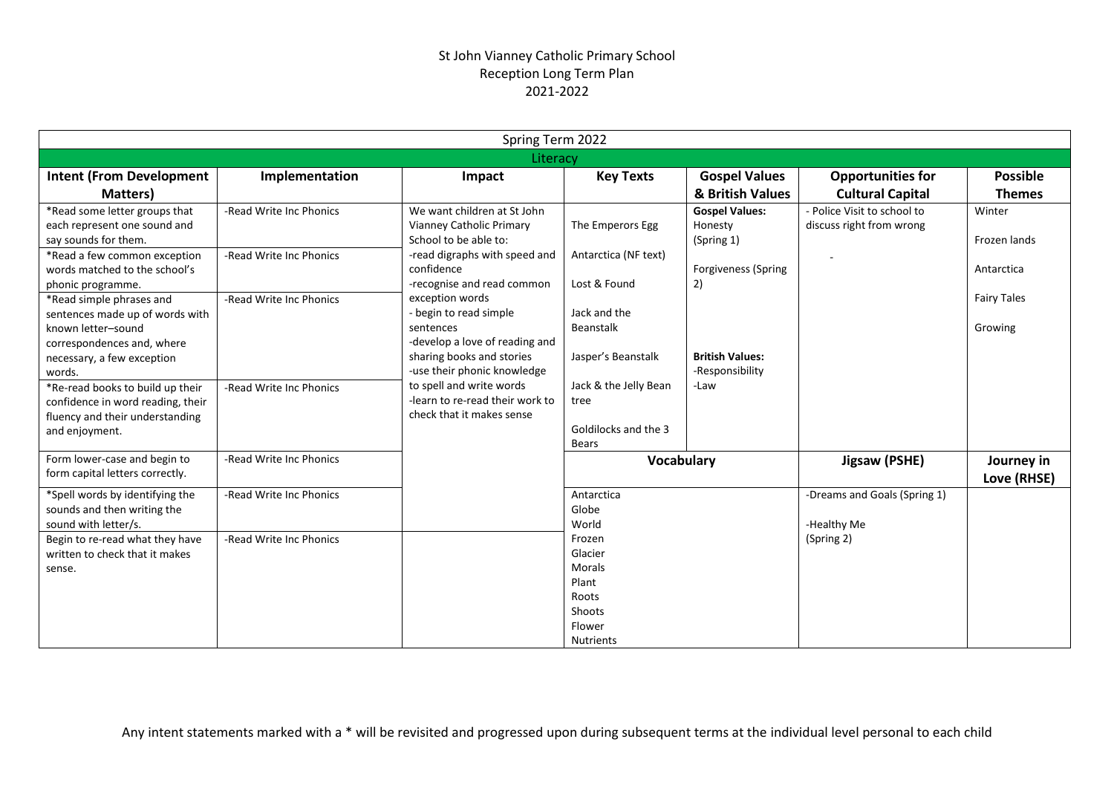|                                                                                                                                                                                                                                                                                                                                                                                                                                                                      |                                                                                                          | Spring Term 2022                                                                                                                                                                                                                                                                                                                                                                                                  |                                                                                                                                                                      |                                                                                                                                  |                                                         |                                                                       |
|----------------------------------------------------------------------------------------------------------------------------------------------------------------------------------------------------------------------------------------------------------------------------------------------------------------------------------------------------------------------------------------------------------------------------------------------------------------------|----------------------------------------------------------------------------------------------------------|-------------------------------------------------------------------------------------------------------------------------------------------------------------------------------------------------------------------------------------------------------------------------------------------------------------------------------------------------------------------------------------------------------------------|----------------------------------------------------------------------------------------------------------------------------------------------------------------------|----------------------------------------------------------------------------------------------------------------------------------|---------------------------------------------------------|-----------------------------------------------------------------------|
|                                                                                                                                                                                                                                                                                                                                                                                                                                                                      |                                                                                                          | Literacy                                                                                                                                                                                                                                                                                                                                                                                                          |                                                                                                                                                                      |                                                                                                                                  |                                                         |                                                                       |
| <b>Intent (From Development</b>                                                                                                                                                                                                                                                                                                                                                                                                                                      | Implementation                                                                                           | Impact                                                                                                                                                                                                                                                                                                                                                                                                            | <b>Key Texts</b>                                                                                                                                                     | <b>Gospel Values</b>                                                                                                             | <b>Opportunities for</b>                                | <b>Possible</b>                                                       |
| Matters)                                                                                                                                                                                                                                                                                                                                                                                                                                                             |                                                                                                          |                                                                                                                                                                                                                                                                                                                                                                                                                   |                                                                                                                                                                      | & British Values                                                                                                                 | <b>Cultural Capital</b>                                 | <b>Themes</b>                                                         |
| *Read some letter groups that<br>each represent one sound and<br>say sounds for them.<br>*Read a few common exception<br>words matched to the school's<br>phonic programme.<br>*Read simple phrases and<br>sentences made up of words with<br>known letter-sound<br>correspondences and, where<br>necessary, a few exception<br>words.<br>*Re-read books to build up their<br>confidence in word reading, their<br>fluency and their understanding<br>and enjoyment. | -Read Write Inc Phonics<br>-Read Write Inc Phonics<br>-Read Write Inc Phonics<br>-Read Write Inc Phonics | We want children at St John<br>Vianney Catholic Primary<br>School to be able to:<br>-read digraphs with speed and<br>confidence<br>-recognise and read common<br>exception words<br>- begin to read simple<br>sentences<br>-develop a love of reading and<br>sharing books and stories<br>-use their phonic knowledge<br>to spell and write words<br>-learn to re-read their work to<br>check that it makes sense | The Emperors Egg<br>Antarctica (NF text)<br>Lost & Found<br>Jack and the<br>Beanstalk<br>Jasper's Beanstalk<br>Jack & the Jelly Bean<br>tree<br>Goldilocks and the 3 | <b>Gospel Values:</b><br>Honesty<br>(Spring 1)<br>Forgiveness (Spring<br>2)<br><b>British Values:</b><br>-Responsibility<br>-Law | - Police Visit to school to<br>discuss right from wrong | Winter<br>Frozen lands<br>Antarctica<br><b>Fairy Tales</b><br>Growing |
| Form lower-case and begin to<br>form capital letters correctly.                                                                                                                                                                                                                                                                                                                                                                                                      | -Read Write Inc Phonics                                                                                  |                                                                                                                                                                                                                                                                                                                                                                                                                   | Bears<br>Vocabulary                                                                                                                                                  |                                                                                                                                  | Jigsaw (PSHE)                                           | Journey in<br>Love (RHSE)                                             |
| *Spell words by identifying the<br>sounds and then writing the<br>sound with letter/s.                                                                                                                                                                                                                                                                                                                                                                               | -Read Write Inc Phonics                                                                                  |                                                                                                                                                                                                                                                                                                                                                                                                                   | Antarctica<br>Globe<br>World                                                                                                                                         |                                                                                                                                  | -Dreams and Goals (Spring 1)<br>-Healthy Me             |                                                                       |
| Begin to re-read what they have<br>written to check that it makes<br>sense.                                                                                                                                                                                                                                                                                                                                                                                          | -Read Write Inc Phonics                                                                                  |                                                                                                                                                                                                                                                                                                                                                                                                                   | Frozen<br>Glacier<br><b>Morals</b><br>Plant<br>Roots<br>Shoots<br>Flower<br><b>Nutrients</b>                                                                         |                                                                                                                                  | (Spring 2)                                              |                                                                       |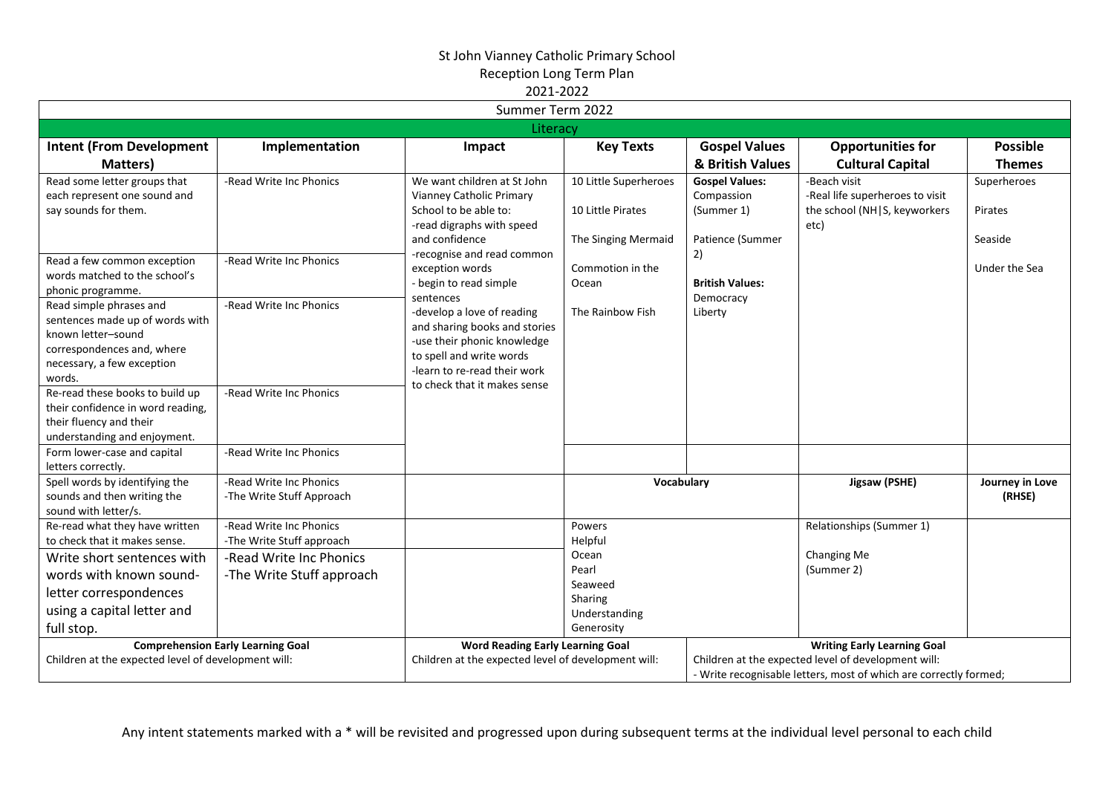|                                                                 |                                                      | LULI LULI<br>Summer Term 2022                       |                       |                        |                                                                   |                 |
|-----------------------------------------------------------------|------------------------------------------------------|-----------------------------------------------------|-----------------------|------------------------|-------------------------------------------------------------------|-----------------|
|                                                                 |                                                      |                                                     |                       |                        |                                                                   |                 |
|                                                                 |                                                      | Literacy                                            |                       |                        |                                                                   |                 |
| <b>Intent (From Development</b>                                 | Implementation                                       | Impact                                              | <b>Key Texts</b>      | <b>Gospel Values</b>   | <b>Opportunities for</b>                                          | <b>Possible</b> |
| Matters)                                                        |                                                      |                                                     |                       | & British Values       | <b>Cultural Capital</b>                                           | <b>Themes</b>   |
| Read some letter groups that                                    | -Read Write Inc Phonics                              | We want children at St John                         | 10 Little Superheroes | <b>Gospel Values:</b>  | -Beach visit                                                      | Superheroes     |
| each represent one sound and                                    |                                                      | Vianney Catholic Primary                            |                       | Compassion             | -Real life superheroes to visit                                   |                 |
| say sounds for them.                                            |                                                      | School to be able to:                               | 10 Little Pirates     | (Summer 1)             | the school (NH S, keyworkers                                      | Pirates         |
|                                                                 |                                                      | -read digraphs with speed                           |                       |                        | etc)                                                              |                 |
|                                                                 |                                                      | and confidence                                      | The Singing Mermaid   | Patience (Summer       |                                                                   | Seaside         |
| Read a few common exception                                     | -Read Write Inc Phonics                              | -recognise and read common<br>exception words       | Commotion in the      | 2)                     |                                                                   | Under the Sea   |
| words matched to the school's                                   |                                                      | - begin to read simple                              | Ocean                 | <b>British Values:</b> |                                                                   |                 |
| phonic programme.                                               |                                                      | sentences                                           |                       | Democracy              |                                                                   |                 |
| Read simple phrases and                                         | -Read Write Inc Phonics                              | -develop a love of reading                          | The Rainbow Fish      | Liberty                |                                                                   |                 |
| sentences made up of words with                                 |                                                      | and sharing books and stories                       |                       |                        |                                                                   |                 |
| known letter-sound<br>correspondences and, where                |                                                      | -use their phonic knowledge                         |                       |                        |                                                                   |                 |
| necessary, a few exception                                      |                                                      | to spell and write words                            |                       |                        |                                                                   |                 |
| words.                                                          |                                                      | -learn to re-read their work                        |                       |                        |                                                                   |                 |
| Re-read these books to build up                                 | -Read Write Inc Phonics                              | to check that it makes sense                        |                       |                        |                                                                   |                 |
| their confidence in word reading,                               |                                                      |                                                     |                       |                        |                                                                   |                 |
| their fluency and their                                         |                                                      |                                                     |                       |                        |                                                                   |                 |
| understanding and enjoyment.                                    |                                                      |                                                     |                       |                        |                                                                   |                 |
| Form lower-case and capital                                     | -Read Write Inc Phonics                              |                                                     |                       |                        |                                                                   |                 |
| letters correctly.                                              |                                                      |                                                     |                       |                        |                                                                   |                 |
| Spell words by identifying the                                  | -Read Write Inc Phonics                              |                                                     | Vocabulary            |                        | Jigsaw (PSHE)                                                     | Journey in Love |
| sounds and then writing the                                     | -The Write Stuff Approach                            |                                                     |                       |                        |                                                                   | (RHSE)          |
| sound with letter/s.                                            |                                                      |                                                     |                       |                        |                                                                   |                 |
| Re-read what they have written<br>to check that it makes sense. | -Read Write Inc Phonics<br>-The Write Stuff approach |                                                     | Powers<br>Helpful     |                        | Relationships (Summer 1)                                          |                 |
| Write short sentences with                                      | -Read Write Inc Phonics                              |                                                     | Ocean                 |                        | Changing Me                                                       |                 |
|                                                                 |                                                      |                                                     | Pearl                 |                        | (Summer 2)                                                        |                 |
| words with known sound-                                         | -The Write Stuff approach                            |                                                     | Seaweed               |                        |                                                                   |                 |
| letter correspondences                                          |                                                      |                                                     | Sharing               |                        |                                                                   |                 |
| using a capital letter and                                      |                                                      |                                                     | Understanding         |                        |                                                                   |                 |
| full stop.                                                      |                                                      |                                                     | Generosity            |                        |                                                                   |                 |
|                                                                 | <b>Comprehension Early Learning Goal</b>             | <b>Word Reading Early Learning Goal</b>             |                       |                        | <b>Writing Early Learning Goal</b>                                |                 |
| Children at the expected level of development will:             |                                                      | Children at the expected level of development will: |                       |                        | Children at the expected level of development will:               |                 |
|                                                                 |                                                      |                                                     |                       |                        | - Write recognisable letters, most of which are correctly formed; |                 |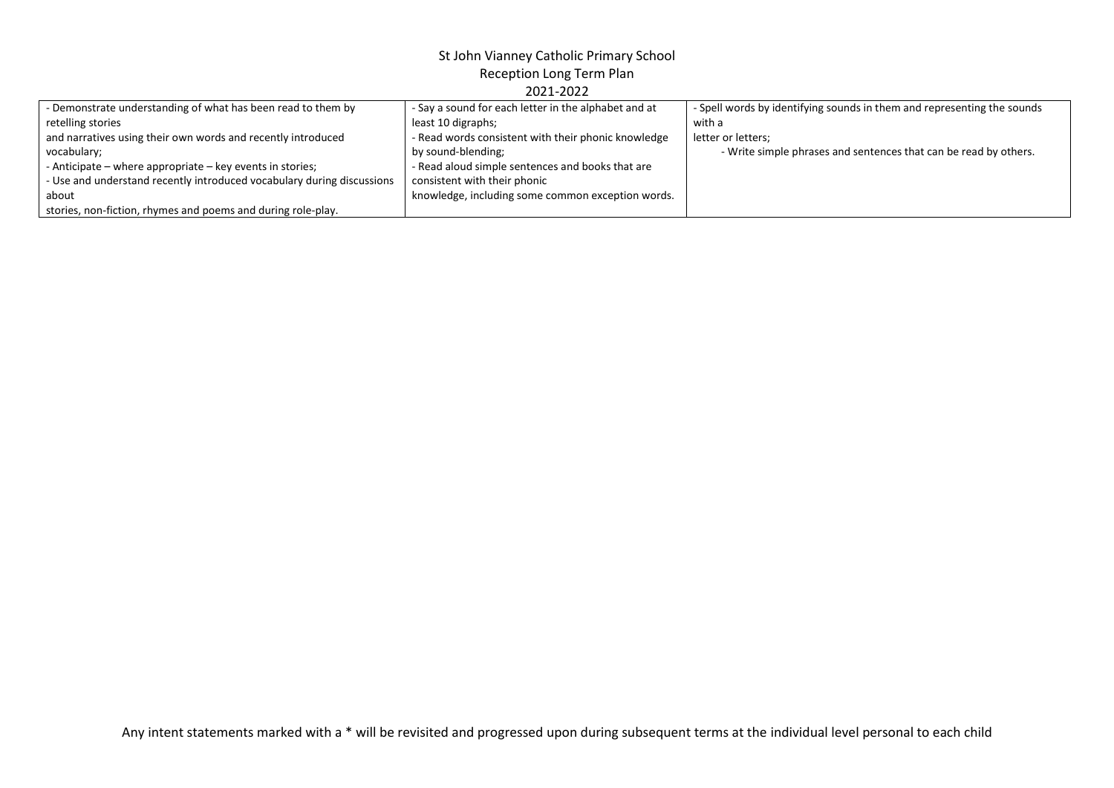| - Demonstrate understanding of what has been read to them by           | - Say a sound for each letter in the alphabet and at | - Spell words by identifying sounds in them and representing the sounds |
|------------------------------------------------------------------------|------------------------------------------------------|-------------------------------------------------------------------------|
| retelling stories                                                      | least 10 digraphs;                                   | with a                                                                  |
| and narratives using their own words and recently introduced           | - Read words consistent with their phonic knowledge  | letter or letters;                                                      |
| vocabulary;                                                            | by sound-blending;                                   | - Write simple phrases and sentences that can be read by others.        |
| - Anticipate – where appropriate – key events in stories;              | - Read aloud simple sentences and books that are     |                                                                         |
| - Use and understand recently introduced vocabulary during discussions | consistent with their phonic                         |                                                                         |
| about                                                                  | knowledge, including some common exception words.    |                                                                         |
| stories, non-fiction, rhymes and poems and during role-play.           |                                                      |                                                                         |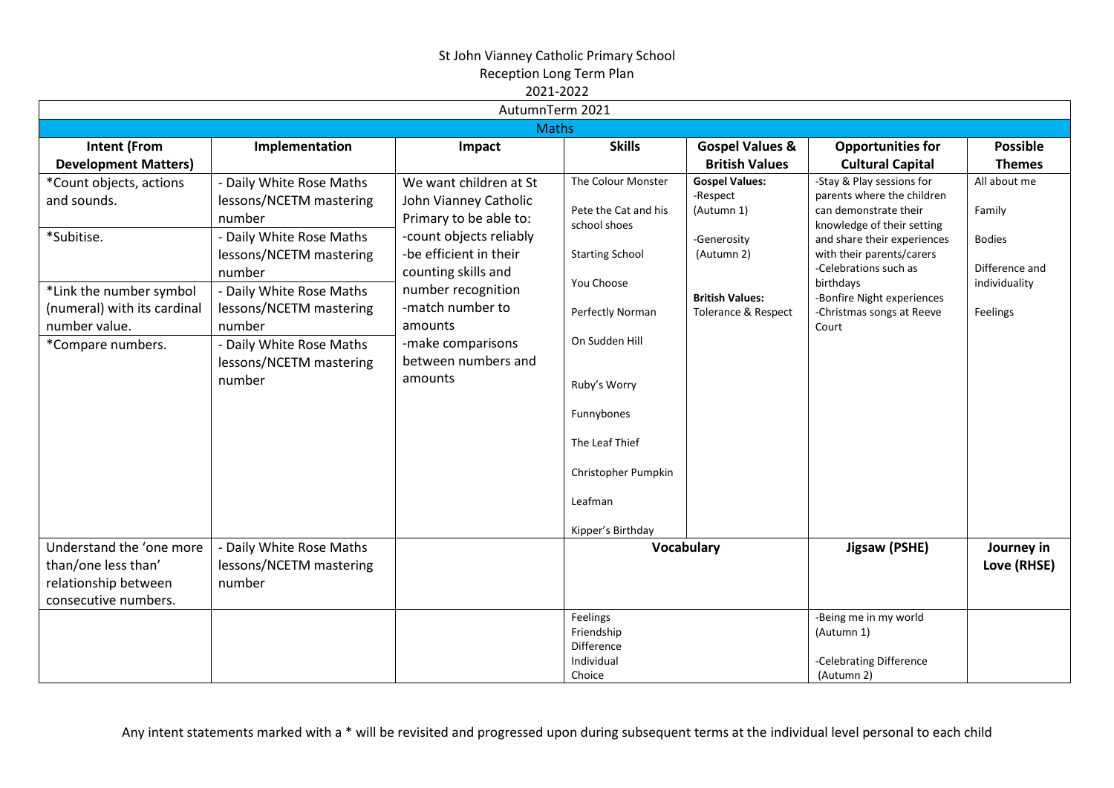|                                                                                                 |                                                                                           | AutumnTerm 2021                                                                                      |                                                                                                                       |                                                                |                                                                                                                                               |                                                             |                                                                                                                            |                                             |
|-------------------------------------------------------------------------------------------------|-------------------------------------------------------------------------------------------|------------------------------------------------------------------------------------------------------|-----------------------------------------------------------------------------------------------------------------------|----------------------------------------------------------------|-----------------------------------------------------------------------------------------------------------------------------------------------|-------------------------------------------------------------|----------------------------------------------------------------------------------------------------------------------------|---------------------------------------------|
| <b>Maths</b>                                                                                    |                                                                                           |                                                                                                      |                                                                                                                       |                                                                |                                                                                                                                               |                                                             |                                                                                                                            |                                             |
| <b>Intent (From</b><br><b>Development Matters)</b>                                              | Implementation                                                                            | Impact                                                                                               | <b>Skills</b>                                                                                                         | <b>Gospel Values &amp;</b><br><b>British Values</b>            | <b>Opportunities for</b><br><b>Cultural Capital</b>                                                                                           | <b>Possible</b><br><b>Themes</b>                            |                                                                                                                            |                                             |
| *Count objects, actions<br>and sounds.<br>*Subitise.                                            | - Daily White Rose Maths<br>lessons/NCETM mastering<br>number<br>- Daily White Rose Maths | We want children at St<br>John Vianney Catholic<br>Primary to be able to:<br>-count objects reliably | The Colour Monster<br>Pete the Cat and his<br>school shoes                                                            | <b>Gospel Values:</b><br>-Respect<br>(Autumn 1)<br>-Generosity | -Stay & Play sessions for<br>parents where the children<br>can demonstrate their<br>knowledge of their setting<br>and share their experiences | All about me<br>Family<br><b>Bodies</b>                     |                                                                                                                            |                                             |
| *Link the number symbol<br>(numeral) with its cardinal                                          | lessons/NCETM mastering<br>number<br>- Daily White Rose Maths<br>lessons/NCETM mastering  | -be efficient in their<br>counting skills and<br>number recognition<br>-match number to              |                                                                                                                       |                                                                | <b>Starting School</b><br>You Choose<br>Perfectly Norman                                                                                      | (Autumn 2)<br><b>British Values:</b><br>Tolerance & Respect | with their parents/carers<br>-Celebrations such as<br>birthdays<br>-Bonfire Night experiences<br>-Christmas songs at Reeve | Difference and<br>individuality<br>Feelings |
| number value.<br>*Compare numbers.                                                              | number<br>- Daily White Rose Maths<br>lessons/NCETM mastering<br>number                   | amounts<br>-make comparisons<br>between numbers and<br>amounts                                       | On Sudden Hill<br>Ruby's Worry<br>Funnybones<br>The Leaf Thief<br>Christopher Pumpkin<br>Leafman<br>Kipper's Birthday |                                                                | Court                                                                                                                                         |                                                             |                                                                                                                            |                                             |
| Understand the 'one more<br>than/one less than'<br>relationship between<br>consecutive numbers. | - Daily White Rose Maths<br>lessons/NCETM mastering<br>number                             |                                                                                                      |                                                                                                                       | Vocabulary                                                     | Jigsaw (PSHE)                                                                                                                                 | Journey in<br>Love (RHSE)                                   |                                                                                                                            |                                             |
|                                                                                                 |                                                                                           |                                                                                                      | Feelings<br>Friendship<br>Difference<br>Individual<br>Choice                                                          |                                                                | -Being me in my world<br>(Autumn 1)<br>-Celebrating Difference<br>(Autumn 2)                                                                  |                                                             |                                                                                                                            |                                             |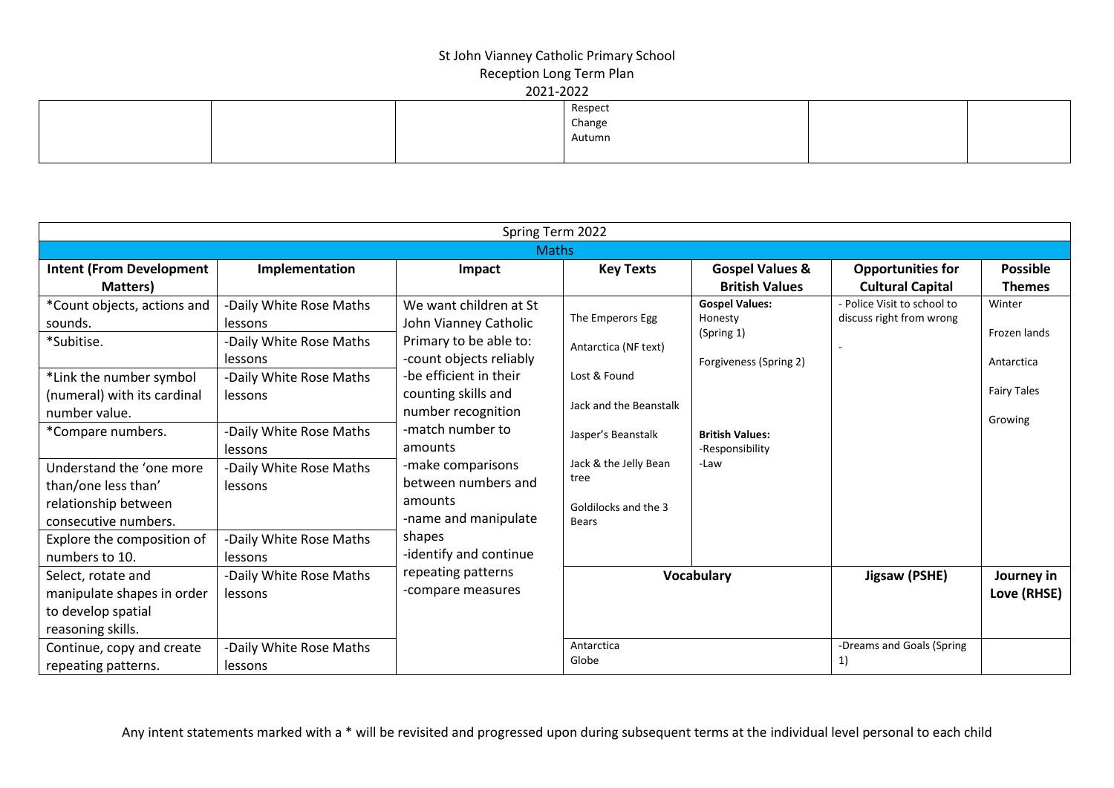|  | Respect |  |
|--|---------|--|
|  | Change  |  |
|  | Autumn  |  |
|  |         |  |

|                                 |                         | Spring Term 2022        |                        |                            |                             |                    |
|---------------------------------|-------------------------|-------------------------|------------------------|----------------------------|-----------------------------|--------------------|
|                                 |                         | <b>Maths</b>            |                        |                            |                             |                    |
| <b>Intent (From Development</b> | Implementation          | Impact                  | <b>Key Texts</b>       | <b>Gospel Values &amp;</b> | <b>Opportunities for</b>    | <b>Possible</b>    |
| Matters)                        |                         |                         |                        | <b>British Values</b>      | <b>Cultural Capital</b>     | <b>Themes</b>      |
| *Count objects, actions and     | -Daily White Rose Maths | We want children at St  |                        | <b>Gospel Values:</b>      | - Police Visit to school to | Winter             |
| sounds.                         | lessons                 | John Vianney Catholic   | The Emperors Egg       | Honesty<br>(Spring 1)      | discuss right from wrong    | Frozen lands       |
| *Subitise.                      | -Daily White Rose Maths | Primary to be able to:  | Antarctica (NF text)   |                            |                             |                    |
|                                 | lessons                 | -count objects reliably |                        | Forgiveness (Spring 2)     |                             | Antarctica         |
| *Link the number symbol         | -Daily White Rose Maths | -be efficient in their  | Lost & Found           |                            |                             |                    |
| (numeral) with its cardinal     | lessons                 | counting skills and     | Jack and the Beanstalk |                            |                             | <b>Fairy Tales</b> |
| number value.                   |                         | number recognition      |                        |                            |                             | Growing            |
| *Compare numbers.               | -Daily White Rose Maths | -match number to        | Jasper's Beanstalk     | <b>British Values:</b>     |                             |                    |
|                                 | lessons                 | amounts                 |                        | -Responsibility            |                             |                    |
| Understand the 'one more        | -Daily White Rose Maths | -make comparisons       | Jack & the Jelly Bean  | -Law                       |                             |                    |
| than/one less than'             | lessons                 | between numbers and     | tree                   |                            |                             |                    |
| relationship between            |                         | amounts                 | Goldilocks and the 3   |                            |                             |                    |
| consecutive numbers.            |                         | -name and manipulate    | <b>Bears</b>           |                            |                             |                    |
| Explore the composition of      | -Daily White Rose Maths | shapes                  |                        |                            |                             |                    |
| numbers to 10.                  | <b>lessons</b>          | -identify and continue  |                        |                            |                             |                    |
| Select, rotate and              | -Daily White Rose Maths | repeating patterns      |                        | <b>Vocabulary</b>          | Jigsaw (PSHE)               | Journey in         |
| manipulate shapes in order      | lessons                 | -compare measures       |                        |                            |                             | Love (RHSE)        |
| to develop spatial              |                         |                         |                        |                            |                             |                    |
| reasoning skills.               |                         |                         |                        |                            |                             |                    |
| Continue, copy and create       | -Daily White Rose Maths |                         | Antarctica             |                            | -Dreams and Goals (Spring   |                    |
| repeating patterns.             | lessons                 |                         | Globe                  |                            | 1)                          |                    |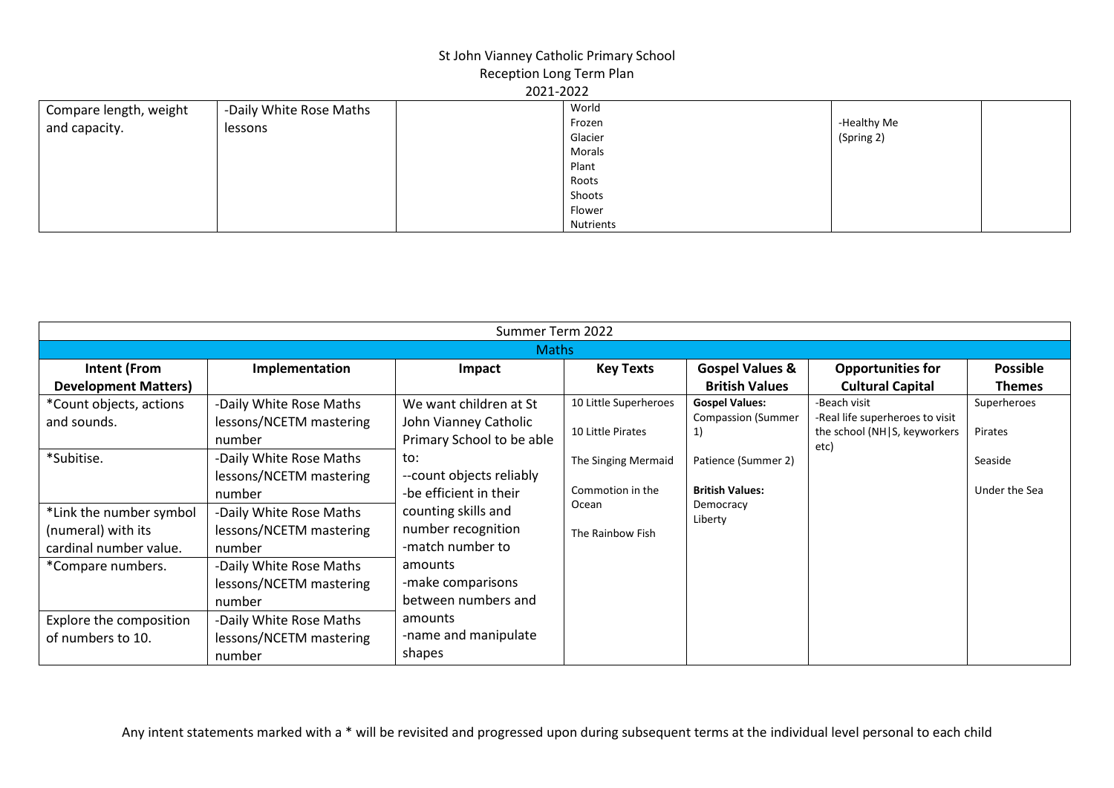|                        |                         | ------- |                  |             |  |
|------------------------|-------------------------|---------|------------------|-------------|--|
| Compare length, weight | -Daily White Rose Maths |         | World            |             |  |
| and capacity.          | lessons                 |         | Frozen           | -Healthy Me |  |
|                        |                         |         | Glacier          | (Spring 2)  |  |
|                        |                         |         | Morals           |             |  |
|                        |                         |         | Plant            |             |  |
|                        |                         |         | Roots            |             |  |
|                        |                         |         | Shoots           |             |  |
|                        |                         |         | Flower           |             |  |
|                        |                         |         | <b>Nutrients</b> |             |  |

|                             | Summer Term 2022        |                           |                       |                            |                                      |                 |  |  |
|-----------------------------|-------------------------|---------------------------|-----------------------|----------------------------|--------------------------------------|-----------------|--|--|
|                             | <b>Maths</b>            |                           |                       |                            |                                      |                 |  |  |
| Intent (From                | Implementation          | Impact                    | <b>Key Texts</b>      | <b>Gospel Values &amp;</b> | <b>Opportunities for</b>             | <b>Possible</b> |  |  |
| <b>Development Matters)</b> |                         |                           |                       | <b>British Values</b>      | <b>Cultural Capital</b>              | <b>Themes</b>   |  |  |
| *Count objects, actions     | -Daily White Rose Maths | We want children at St    | 10 Little Superheroes | <b>Gospel Values:</b>      | -Beach visit                         | Superheroes     |  |  |
| and sounds.                 | lessons/NCETM mastering | John Vianney Catholic     |                       | <b>Compassion (Summer</b>  | -Real life superheroes to visit      |                 |  |  |
|                             | number                  | Primary School to be able | 10 Little Pirates     |                            | the school (NH S, keyworkers<br>etc) | Pirates         |  |  |
| *Subitise.                  | -Daily White Rose Maths | to:                       | The Singing Mermaid   | Patience (Summer 2)        |                                      | Seaside         |  |  |
|                             | lessons/NCETM mastering | --count objects reliably  |                       |                            |                                      |                 |  |  |
|                             | number                  | -be efficient in their    | Commotion in the      | <b>British Values:</b>     |                                      | Under the Sea   |  |  |
| *Link the number symbol     | -Daily White Rose Maths | counting skills and       | Ocean                 | Democracy<br>Liberty       |                                      |                 |  |  |
| (numeral) with its          | lessons/NCETM mastering | number recognition        | The Rainbow Fish      |                            |                                      |                 |  |  |
| cardinal number value.      | number                  | -match number to          |                       |                            |                                      |                 |  |  |
| *Compare numbers.           | -Daily White Rose Maths | amounts                   |                       |                            |                                      |                 |  |  |
|                             | lessons/NCETM mastering | -make comparisons         |                       |                            |                                      |                 |  |  |
|                             | number                  | between numbers and       |                       |                            |                                      |                 |  |  |
| Explore the composition     | -Daily White Rose Maths | amounts                   |                       |                            |                                      |                 |  |  |
| of numbers to 10.           | lessons/NCETM mastering | -name and manipulate      |                       |                            |                                      |                 |  |  |
|                             | number                  | shapes                    |                       |                            |                                      |                 |  |  |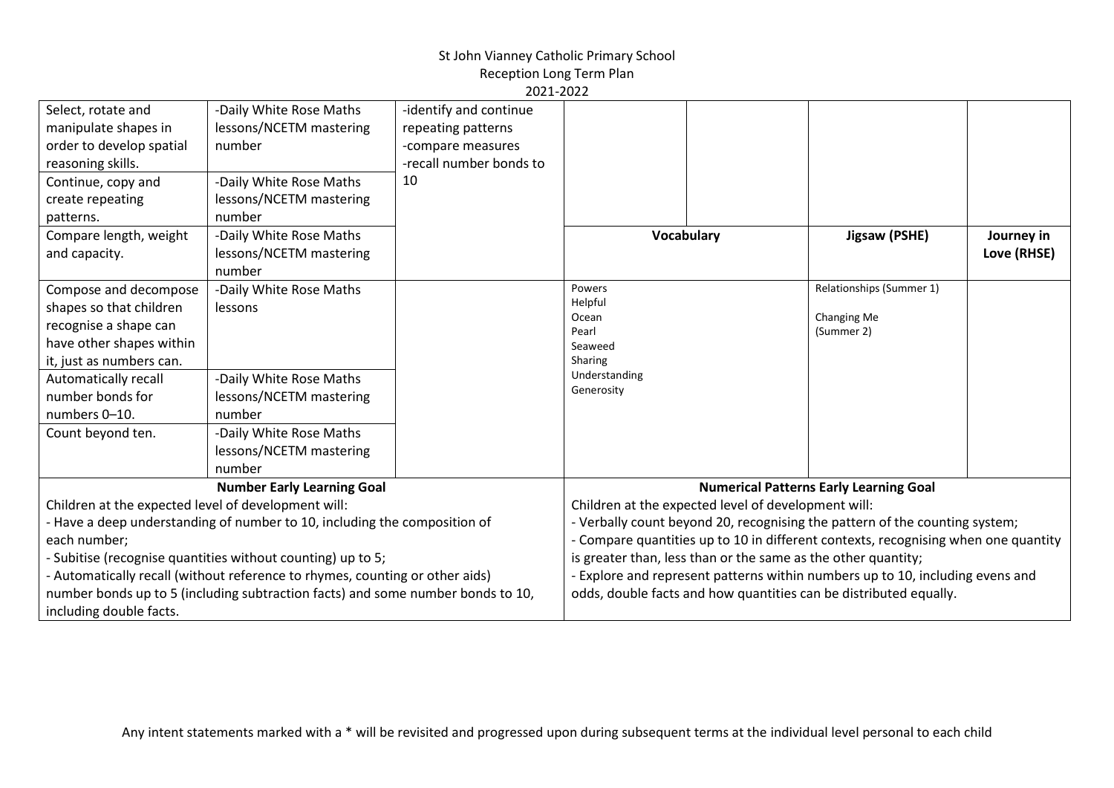# St John Vianney Catholic Primary School

Reception Long Term Plan 2021-2022

| Select, rotate and                                  | -Daily White Rose Maths                                                         | -identify and continue  |                |                                                               |                                                                                    |             |
|-----------------------------------------------------|---------------------------------------------------------------------------------|-------------------------|----------------|---------------------------------------------------------------|------------------------------------------------------------------------------------|-------------|
| manipulate shapes in                                | lessons/NCETM mastering                                                         | repeating patterns      |                |                                                               |                                                                                    |             |
| order to develop spatial                            | number                                                                          | -compare measures       |                |                                                               |                                                                                    |             |
| reasoning skills.                                   |                                                                                 | -recall number bonds to |                |                                                               |                                                                                    |             |
| Continue, copy and                                  | -Daily White Rose Maths                                                         | 10                      |                |                                                               |                                                                                    |             |
| create repeating                                    | lessons/NCETM mastering                                                         |                         |                |                                                               |                                                                                    |             |
| patterns.                                           | number                                                                          |                         |                |                                                               |                                                                                    |             |
| Compare length, weight                              | -Daily White Rose Maths                                                         |                         | Vocabulary     |                                                               | Jigsaw (PSHE)                                                                      | Journey in  |
| and capacity.                                       | lessons/NCETM mastering                                                         |                         |                |                                                               |                                                                                    | Love (RHSE) |
|                                                     | number                                                                          |                         |                |                                                               |                                                                                    |             |
| Compose and decompose                               | -Daily White Rose Maths                                                         |                         | Powers         |                                                               | Relationships (Summer 1)                                                           |             |
| shapes so that children                             | lessons                                                                         |                         | Helpful        |                                                               |                                                                                    |             |
| recognise a shape can                               |                                                                                 |                         | Ocean<br>Pearl |                                                               | Changing Me<br>(Summer 2)                                                          |             |
| have other shapes within                            |                                                                                 |                         | Seaweed        |                                                               |                                                                                    |             |
| it, just as numbers can.                            |                                                                                 |                         | Sharing        |                                                               |                                                                                    |             |
| Automatically recall                                | -Daily White Rose Maths                                                         |                         | Understanding  |                                                               |                                                                                    |             |
| number bonds for                                    | lessons/NCETM mastering                                                         |                         | Generosity     |                                                               |                                                                                    |             |
| numbers 0-10.                                       | number                                                                          |                         |                |                                                               |                                                                                    |             |
| Count beyond ten.                                   | -Daily White Rose Maths                                                         |                         |                |                                                               |                                                                                    |             |
|                                                     | lessons/NCETM mastering                                                         |                         |                |                                                               |                                                                                    |             |
|                                                     | number                                                                          |                         |                |                                                               |                                                                                    |             |
|                                                     | <b>Number Early Learning Goal</b>                                               |                         |                |                                                               | <b>Numerical Patterns Early Learning Goal</b>                                      |             |
| Children at the expected level of development will: |                                                                                 |                         |                | Children at the expected level of development will:           |                                                                                    |             |
|                                                     | - Have a deep understanding of number to 10, including the composition of       |                         |                |                                                               | - Verbally count beyond 20, recognising the pattern of the counting system;        |             |
| each number;                                        |                                                                                 |                         |                |                                                               | - Compare quantities up to 10 in different contexts, recognising when one quantity |             |
|                                                     | - Subitise (recognise quantities without counting) up to 5;                     |                         |                | is greater than, less than or the same as the other quantity; |                                                                                    |             |
|                                                     | - Automatically recall (without reference to rhymes, counting or other aids)    |                         |                |                                                               | - Explore and represent patterns within numbers up to 10, including evens and      |             |
|                                                     | number bonds up to 5 (including subtraction facts) and some number bonds to 10, |                         |                |                                                               | odds, double facts and how quantities can be distributed equally.                  |             |
| including double facts.                             |                                                                                 |                         |                |                                                               |                                                                                    |             |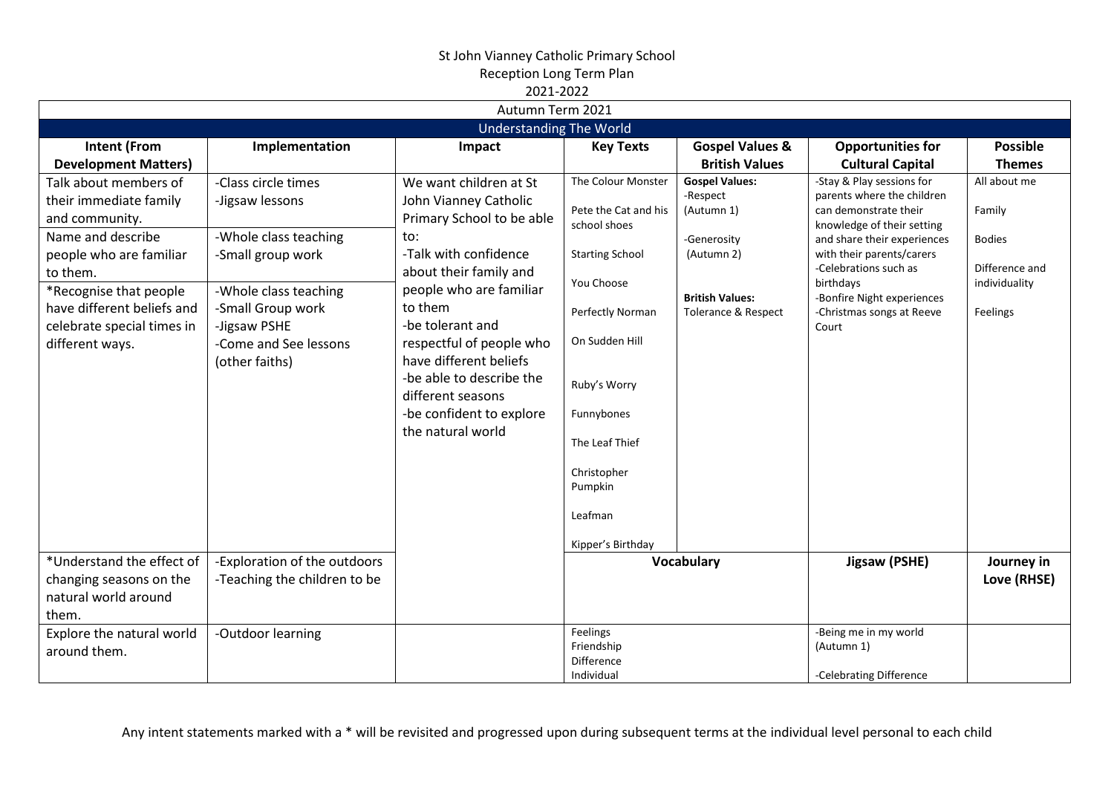|                                                                                                                                                                                                                                        |                                                                                                                                                                                               | ZUZI-ZUZZ<br>Autumn Term 2021                                                                                                                                                                                                                                                                                                                            |                                                                                                                                                                                                                               |                                                                                                                                          |                                                                                                                                                                                                                                                                                      |                                                                                        |
|----------------------------------------------------------------------------------------------------------------------------------------------------------------------------------------------------------------------------------------|-----------------------------------------------------------------------------------------------------------------------------------------------------------------------------------------------|----------------------------------------------------------------------------------------------------------------------------------------------------------------------------------------------------------------------------------------------------------------------------------------------------------------------------------------------------------|-------------------------------------------------------------------------------------------------------------------------------------------------------------------------------------------------------------------------------|------------------------------------------------------------------------------------------------------------------------------------------|--------------------------------------------------------------------------------------------------------------------------------------------------------------------------------------------------------------------------------------------------------------------------------------|----------------------------------------------------------------------------------------|
|                                                                                                                                                                                                                                        |                                                                                                                                                                                               | <b>Understanding The World</b>                                                                                                                                                                                                                                                                                                                           |                                                                                                                                                                                                                               |                                                                                                                                          |                                                                                                                                                                                                                                                                                      |                                                                                        |
| <b>Intent (From</b><br><b>Development Matters)</b>                                                                                                                                                                                     | Implementation                                                                                                                                                                                | Impact                                                                                                                                                                                                                                                                                                                                                   | <b>Key Texts</b>                                                                                                                                                                                                              | <b>Gospel Values &amp;</b><br><b>British Values</b>                                                                                      | <b>Opportunities for</b><br><b>Cultural Capital</b>                                                                                                                                                                                                                                  | <b>Possible</b><br><b>Themes</b>                                                       |
| Talk about members of<br>their immediate family<br>and community.<br>Name and describe<br>people who are familiar<br>to them.<br>*Recognise that people<br>have different beliefs and<br>celebrate special times in<br>different ways. | -Class circle times<br>-Jigsaw lessons<br>-Whole class teaching<br>-Small group work<br>-Whole class teaching<br>-Small Group work<br>-Jigsaw PSHE<br>-Come and See lessons<br>(other faiths) | We want children at St<br>John Vianney Catholic<br>Primary School to be able<br>to:<br>-Talk with confidence<br>about their family and<br>people who are familiar<br>to them<br>-be tolerant and<br>respectful of people who<br>have different beliefs<br>-be able to describe the<br>different seasons<br>-be confident to explore<br>the natural world | The Colour Monster<br>Pete the Cat and his<br>school shoes<br><b>Starting School</b><br>You Choose<br>Perfectly Norman<br>On Sudden Hill<br>Ruby's Worry<br>Funnybones<br>The Leaf Thief<br>Christopher<br>Pumpkin<br>Leafman | <b>Gospel Values:</b><br>-Respect<br>(Autumn 1)<br>-Generosity<br>(Autumn 2)<br><b>British Values:</b><br><b>Tolerance &amp; Respect</b> | -Stay & Play sessions for<br>parents where the children<br>can demonstrate their<br>knowledge of their setting<br>and share their experiences<br>with their parents/carers<br>-Celebrations such as<br>birthdays<br>-Bonfire Night experiences<br>-Christmas songs at Reeve<br>Court | All about me<br>Family<br><b>Bodies</b><br>Difference and<br>individuality<br>Feelings |
| *Understand the effect of<br>changing seasons on the<br>natural world around<br>them.                                                                                                                                                  | -Exploration of the outdoors<br>-Teaching the children to be                                                                                                                                  |                                                                                                                                                                                                                                                                                                                                                          | Kipper's Birthday                                                                                                                                                                                                             | <b>Vocabulary</b>                                                                                                                        | Jigsaw (PSHE)                                                                                                                                                                                                                                                                        | Journey in<br>Love (RHSE)                                                              |
| Explore the natural world<br>around them.                                                                                                                                                                                              | -Outdoor learning                                                                                                                                                                             |                                                                                                                                                                                                                                                                                                                                                          | Feelings<br>Friendship<br><b>Difference</b><br>Individual                                                                                                                                                                     |                                                                                                                                          | -Being me in my world<br>(Autumn 1)<br>-Celebrating Difference                                                                                                                                                                                                                       |                                                                                        |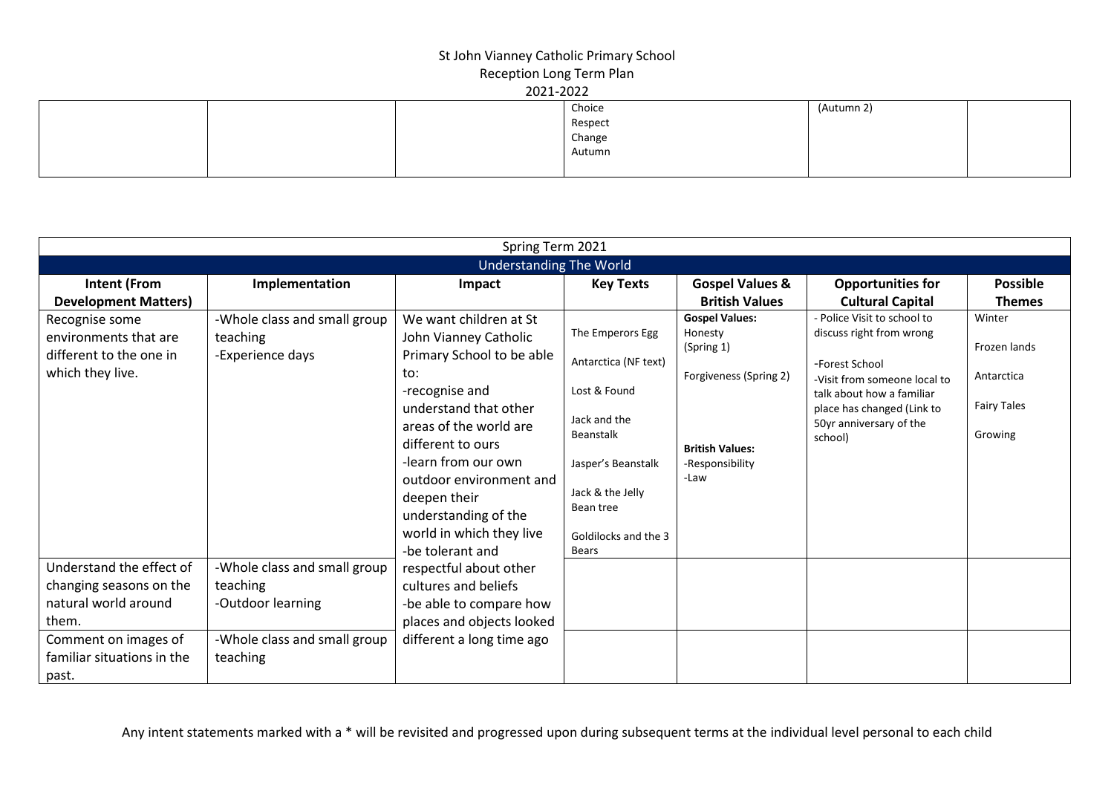|  | Choice           | (Autumn 2) |  |
|--|------------------|------------|--|
|  | Respect          |            |  |
|  | Change<br>Autumn |            |  |
|  |                  |            |  |
|  |                  |            |  |

|                                |                              | Spring Term 2021          |                                  |                            |                                    |                    |  |  |
|--------------------------------|------------------------------|---------------------------|----------------------------------|----------------------------|------------------------------------|--------------------|--|--|
| <b>Understanding The World</b> |                              |                           |                                  |                            |                                    |                    |  |  |
| Intent (From                   | Implementation               | Impact                    | <b>Key Texts</b>                 | <b>Gospel Values &amp;</b> | <b>Opportunities for</b>           | <b>Possible</b>    |  |  |
| <b>Development Matters)</b>    |                              |                           |                                  | <b>British Values</b>      | <b>Cultural Capital</b>            | <b>Themes</b>      |  |  |
| Recognise some                 | -Whole class and small group | We want children at St    |                                  | <b>Gospel Values:</b>      | - Police Visit to school to        | Winter             |  |  |
| environments that are          | teaching                     | John Vianney Catholic     | The Emperors Egg                 | Honesty                    | discuss right from wrong           | Frozen lands       |  |  |
| different to the one in        | -Experience days             | Primary School to be able | Antarctica (NF text)             | (Spring 1)                 | -Forest School                     |                    |  |  |
| which they live.               |                              | to:                       |                                  | Forgiveness (Spring 2)     | -Visit from someone local to       | Antarctica         |  |  |
|                                |                              | -recognise and            | Lost & Found                     |                            | talk about how a familiar          |                    |  |  |
|                                |                              | understand that other     |                                  |                            | place has changed (Link to         | <b>Fairy Tales</b> |  |  |
|                                |                              | areas of the world are    | Jack and the<br><b>Beanstalk</b> |                            | 50yr anniversary of the<br>school) | Growing            |  |  |
|                                |                              | different to ours         |                                  | <b>British Values:</b>     |                                    |                    |  |  |
|                                |                              | -learn from our own       | Jasper's Beanstalk               | -Responsibility            |                                    |                    |  |  |
|                                |                              | outdoor environment and   |                                  | -Law                       |                                    |                    |  |  |
|                                |                              | deepen their              | Jack & the Jelly<br>Bean tree    |                            |                                    |                    |  |  |
|                                |                              | understanding of the      |                                  |                            |                                    |                    |  |  |
|                                |                              | world in which they live  | Goldilocks and the 3             |                            |                                    |                    |  |  |
|                                |                              | -be tolerant and          | <b>Bears</b>                     |                            |                                    |                    |  |  |
| Understand the effect of       | -Whole class and small group | respectful about other    |                                  |                            |                                    |                    |  |  |
| changing seasons on the        | teaching                     | cultures and beliefs      |                                  |                            |                                    |                    |  |  |
| natural world around           | -Outdoor learning            | -be able to compare how   |                                  |                            |                                    |                    |  |  |
| them.                          |                              | places and objects looked |                                  |                            |                                    |                    |  |  |
| Comment on images of           | -Whole class and small group | different a long time ago |                                  |                            |                                    |                    |  |  |
| familiar situations in the     | teaching                     |                           |                                  |                            |                                    |                    |  |  |
| past.                          |                              |                           |                                  |                            |                                    |                    |  |  |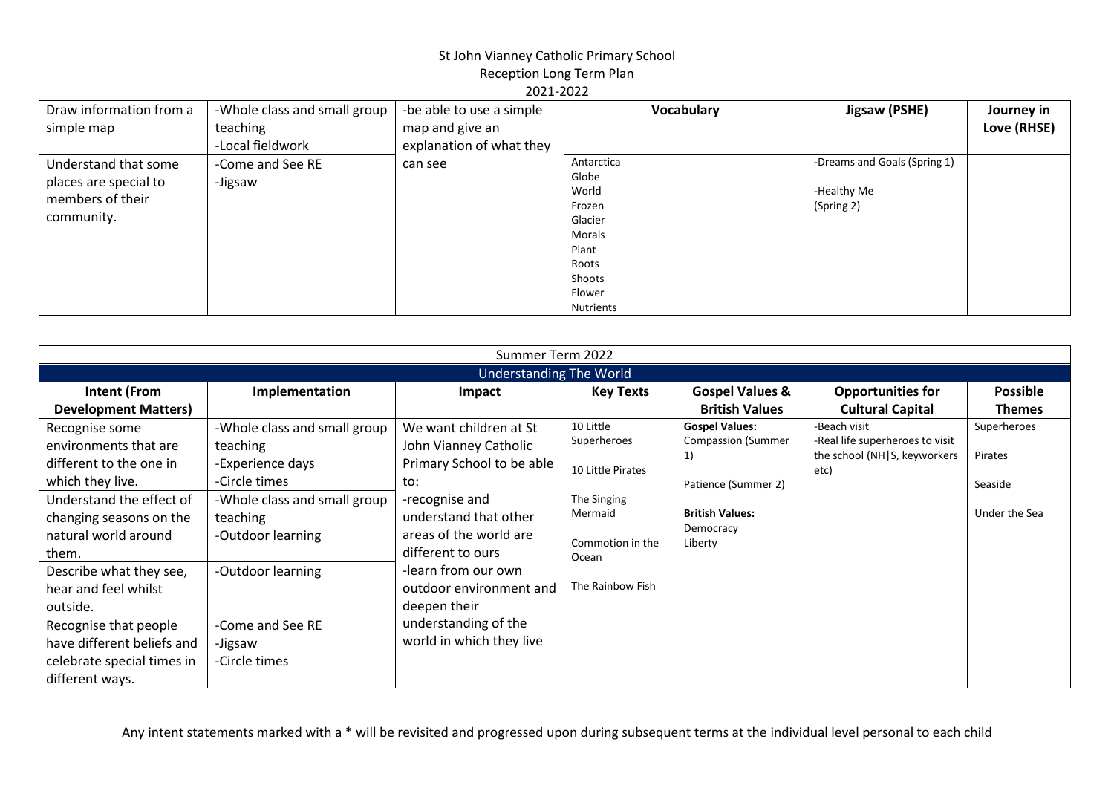| Draw information from a | -Whole class and small group | -be able to use a simple | <b>Vocabulary</b> | Jigsaw (PSHE)                | Journey in  |
|-------------------------|------------------------------|--------------------------|-------------------|------------------------------|-------------|
| simple map              | teaching                     | map and give an          |                   |                              | Love (RHSE) |
|                         | -Local fieldwork             | explanation of what they |                   |                              |             |
| Understand that some    | -Come and See RE             | can see                  | Antarctica        | -Dreams and Goals (Spring 1) |             |
| places are special to   | -Jigsaw                      |                          | Globe             |                              |             |
| members of their        |                              |                          | World             | -Healthy Me                  |             |
|                         |                              |                          | Frozen            | (Spring 2)                   |             |
| community.              |                              |                          | Glacier           |                              |             |
|                         |                              |                          | Morals            |                              |             |
|                         |                              |                          | Plant             |                              |             |
|                         |                              |                          | Roots             |                              |             |
|                         |                              |                          | Shoots            |                              |             |
|                         |                              |                          | Flower            |                              |             |
|                         |                              |                          | <b>Nutrients</b>  |                              |             |

|                                | Summer Term 2022             |                           |                   |                            |                                      |                 |  |  |
|--------------------------------|------------------------------|---------------------------|-------------------|----------------------------|--------------------------------------|-----------------|--|--|
| <b>Understanding The World</b> |                              |                           |                   |                            |                                      |                 |  |  |
| <b>Intent (From</b>            | Implementation               | Impact                    | <b>Key Texts</b>  | <b>Gospel Values &amp;</b> | <b>Opportunities for</b>             | <b>Possible</b> |  |  |
| <b>Development Matters)</b>    |                              |                           |                   | <b>British Values</b>      | <b>Cultural Capital</b>              | <b>Themes</b>   |  |  |
| Recognise some                 | -Whole class and small group | We want children at St    | 10 Little         | <b>Gospel Values:</b>      | -Beach visit                         | Superheroes     |  |  |
| environments that are          | teaching                     | John Vianney Catholic     | Superheroes       | <b>Compassion (Summer</b>  | -Real life superheroes to visit      |                 |  |  |
| different to the one in        | -Experience days             | Primary School to be able | 10 Little Pirates | 1)                         | the school (NH S, keyworkers<br>etc) | Pirates         |  |  |
| which they live.               | -Circle times                | to:                       |                   | Patience (Summer 2)        |                                      | Seaside         |  |  |
| Understand the effect of       | -Whole class and small group | -recognise and            | The Singing       |                            |                                      |                 |  |  |
| changing seasons on the        | teaching                     | understand that other     | Mermaid           | <b>British Values:</b>     |                                      | Under the Sea   |  |  |
| natural world around           | -Outdoor learning            | areas of the world are    | Commotion in the  | Democracy<br>Liberty       |                                      |                 |  |  |
| them.                          |                              | different to ours         | Ocean             |                            |                                      |                 |  |  |
| Describe what they see,        | -Outdoor learning            | -learn from our own       |                   |                            |                                      |                 |  |  |
| hear and feel whilst           |                              | outdoor environment and   | The Rainbow Fish  |                            |                                      |                 |  |  |
| outside.                       |                              | deepen their              |                   |                            |                                      |                 |  |  |
| Recognise that people          | -Come and See RE             | understanding of the      |                   |                            |                                      |                 |  |  |
| have different beliefs and     | -Jigsaw                      | world in which they live  |                   |                            |                                      |                 |  |  |
| celebrate special times in     | -Circle times                |                           |                   |                            |                                      |                 |  |  |
| different ways.                |                              |                           |                   |                            |                                      |                 |  |  |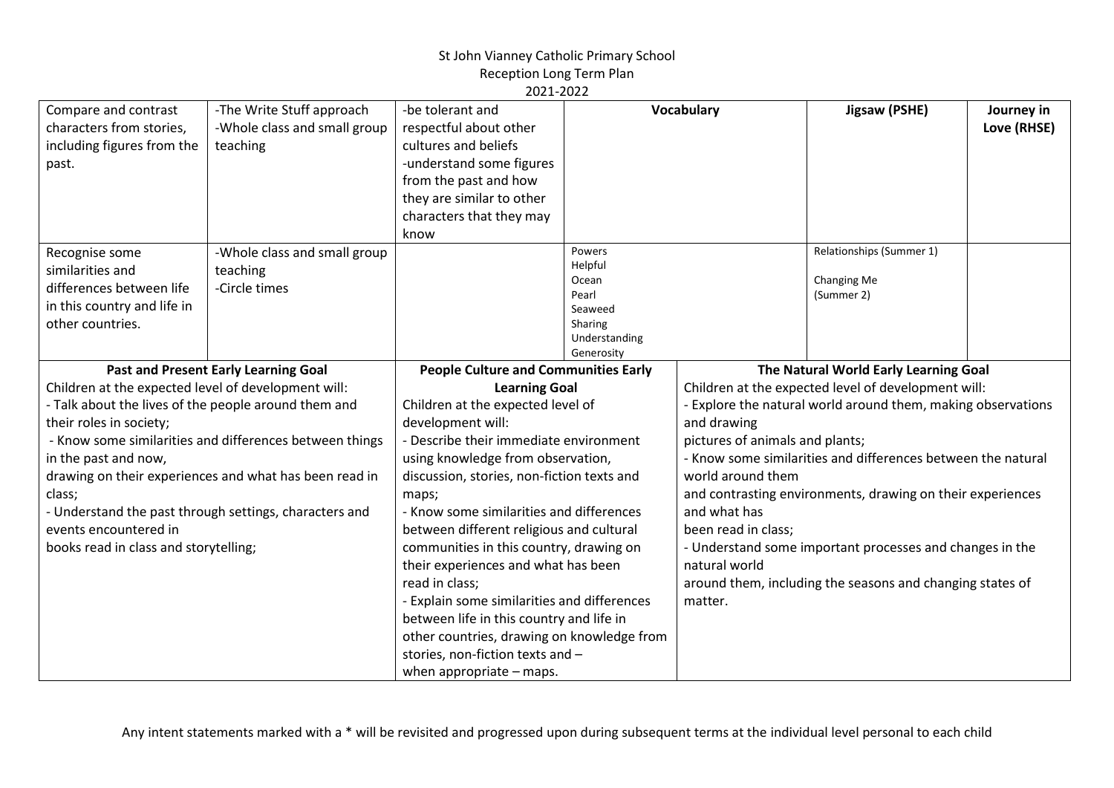| Compare and contrast<br>characters from stories,<br>including figures from the<br>past.                                                                                                                                                    | -The Write Stuff approach<br>-Whole class and small group<br>teaching                                                                                                                                               | -be tolerant and<br>respectful about other<br>cultures and beliefs<br>-understand some figures<br>from the past and how<br>they are similar to other<br>characters that they may<br>know                                                                                                                                                                                                                                                                                                                                                                                                                                                                                 |                                                                                          | Vocabulary                                                                                                                             | Jigsaw (PSHE)                                                                                                                                                                                                                                                                                                                                                                                                       | Journey in<br>Love (RHSE) |
|--------------------------------------------------------------------------------------------------------------------------------------------------------------------------------------------------------------------------------------------|---------------------------------------------------------------------------------------------------------------------------------------------------------------------------------------------------------------------|--------------------------------------------------------------------------------------------------------------------------------------------------------------------------------------------------------------------------------------------------------------------------------------------------------------------------------------------------------------------------------------------------------------------------------------------------------------------------------------------------------------------------------------------------------------------------------------------------------------------------------------------------------------------------|------------------------------------------------------------------------------------------|----------------------------------------------------------------------------------------------------------------------------------------|---------------------------------------------------------------------------------------------------------------------------------------------------------------------------------------------------------------------------------------------------------------------------------------------------------------------------------------------------------------------------------------------------------------------|---------------------------|
| Recognise some<br>similarities and<br>differences between life<br>in this country and life in<br>other countries.                                                                                                                          | -Whole class and small group<br>teaching<br>-Circle times                                                                                                                                                           |                                                                                                                                                                                                                                                                                                                                                                                                                                                                                                                                                                                                                                                                          | Powers<br>Helpful<br>Ocean<br>Pearl<br>Seaweed<br>Sharing<br>Understanding<br>Generosity |                                                                                                                                        | Relationships (Summer 1)<br>Changing Me<br>(Summer 2)                                                                                                                                                                                                                                                                                                                                                               |                           |
| Children at the expected level of development will:<br>- Talk about the lives of the people around them and<br>their roles in society;<br>in the past and now,<br>class;<br>events encountered in<br>books read in class and storytelling; | Past and Present Early Learning Goal<br>- Know some similarities and differences between things<br>drawing on their experiences and what has been read in<br>- Understand the past through settings, characters and | <b>People Culture and Communities Early</b><br><b>Learning Goal</b><br>Children at the expected level of<br>development will:<br>- Describe their immediate environment<br>using knowledge from observation,<br>discussion, stories, non-fiction texts and<br>maps;<br>- Know some similarities and differences<br>between different religious and cultural<br>communities in this country, drawing on<br>their experiences and what has been<br>read in class;<br>- Explain some similarities and differences<br>between life in this country and life in<br>other countries, drawing on knowledge from<br>stories, non-fiction texts and -<br>when appropriate - maps. |                                                                                          | and drawing<br>pictures of animals and plants;<br>world around them<br>and what has<br>been read in class;<br>natural world<br>matter. | The Natural World Early Learning Goal<br>Children at the expected level of development will:<br>- Explore the natural world around them, making observations<br>- Know some similarities and differences between the natural<br>and contrasting environments, drawing on their experiences<br>- Understand some important processes and changes in the<br>around them, including the seasons and changing states of |                           |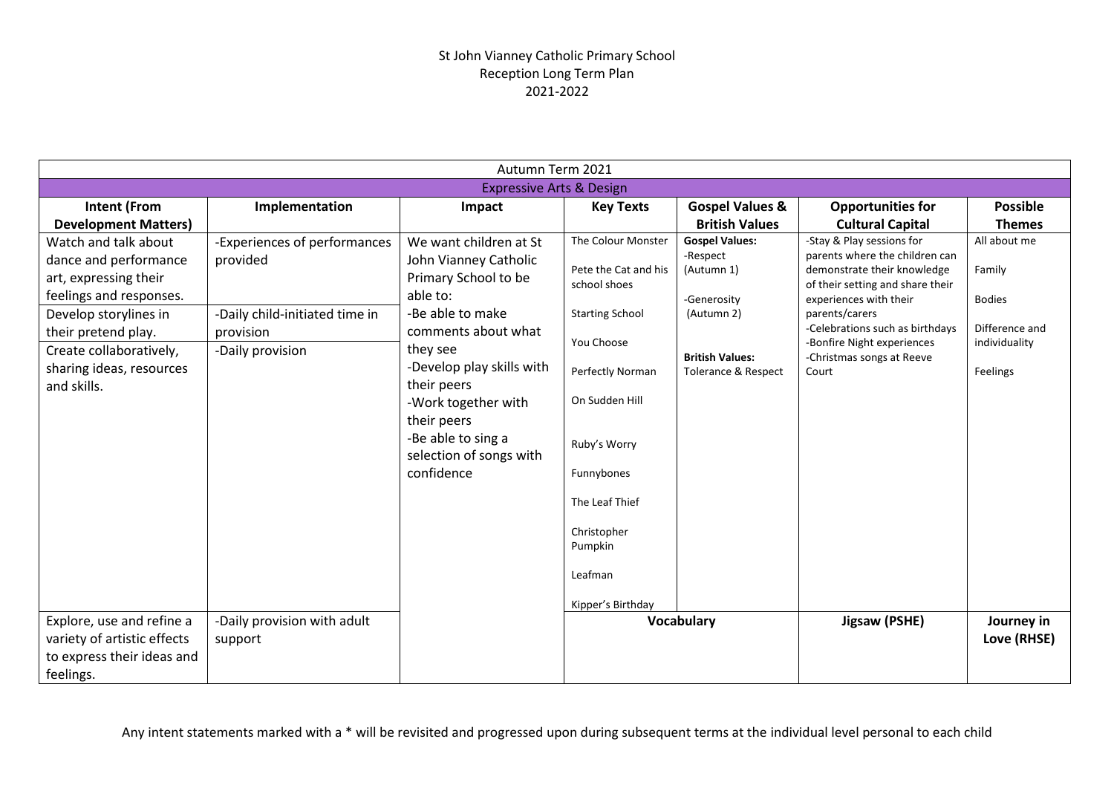|                                                                                                                                                                                                                         |                                                                                                             | Autumn Term 2021                                                                                                                                                                                                                                                                            |                                                                                                                                                                                                                                      |                                                                                                                                          |                                                                                                                                                                                                                                                                                   |                                                                                        |
|-------------------------------------------------------------------------------------------------------------------------------------------------------------------------------------------------------------------------|-------------------------------------------------------------------------------------------------------------|---------------------------------------------------------------------------------------------------------------------------------------------------------------------------------------------------------------------------------------------------------------------------------------------|--------------------------------------------------------------------------------------------------------------------------------------------------------------------------------------------------------------------------------------|------------------------------------------------------------------------------------------------------------------------------------------|-----------------------------------------------------------------------------------------------------------------------------------------------------------------------------------------------------------------------------------------------------------------------------------|----------------------------------------------------------------------------------------|
|                                                                                                                                                                                                                         |                                                                                                             | <b>Expressive Arts &amp; Design</b>                                                                                                                                                                                                                                                         |                                                                                                                                                                                                                                      |                                                                                                                                          |                                                                                                                                                                                                                                                                                   |                                                                                        |
| <b>Intent (From</b>                                                                                                                                                                                                     | Implementation                                                                                              | Impact                                                                                                                                                                                                                                                                                      | <b>Key Texts</b>                                                                                                                                                                                                                     | <b>Gospel Values &amp;</b>                                                                                                               | <b>Opportunities for</b>                                                                                                                                                                                                                                                          | <b>Possible</b>                                                                        |
| <b>Development Matters)</b>                                                                                                                                                                                             |                                                                                                             |                                                                                                                                                                                                                                                                                             |                                                                                                                                                                                                                                      | <b>British Values</b>                                                                                                                    | <b>Cultural Capital</b>                                                                                                                                                                                                                                                           | <b>Themes</b>                                                                          |
| Watch and talk about<br>dance and performance<br>art, expressing their<br>feelings and responses.<br>Develop storylines in<br>their pretend play.<br>Create collaboratively,<br>sharing ideas, resources<br>and skills. | -Experiences of performances<br>provided<br>-Daily child-initiated time in<br>provision<br>-Daily provision | We want children at St<br>John Vianney Catholic<br>Primary School to be<br>able to:<br>-Be able to make<br>comments about what<br>they see<br>-Develop play skills with<br>their peers<br>-Work together with<br>their peers<br>-Be able to sing a<br>selection of songs with<br>confidence | The Colour Monster<br>Pete the Cat and his<br>school shoes<br><b>Starting School</b><br>You Choose<br><b>Perfectly Norman</b><br>On Sudden Hill<br>Ruby's Worry<br>Funnybones<br>The Leaf Thief<br>Christopher<br>Pumpkin<br>Leafman | <b>Gospel Values:</b><br>-Respect<br>(Autumn 1)<br>-Generosity<br>(Autumn 2)<br><b>British Values:</b><br><b>Tolerance &amp; Respect</b> | -Stay & Play sessions for<br>parents where the children can<br>demonstrate their knowledge<br>of their setting and share their<br>experiences with their<br>parents/carers<br>-Celebrations such as birthdays<br>-Bonfire Night experiences<br>-Christmas songs at Reeve<br>Court | All about me<br>Family<br><b>Bodies</b><br>Difference and<br>individuality<br>Feelings |
| Explore, use and refine a<br>variety of artistic effects<br>to express their ideas and<br>feelings.                                                                                                                     | -Daily provision with adult<br>support                                                                      |                                                                                                                                                                                                                                                                                             | Kipper's Birthday                                                                                                                                                                                                                    | Vocabulary                                                                                                                               | Jigsaw (PSHE)                                                                                                                                                                                                                                                                     | Journey in<br>Love (RHSE)                                                              |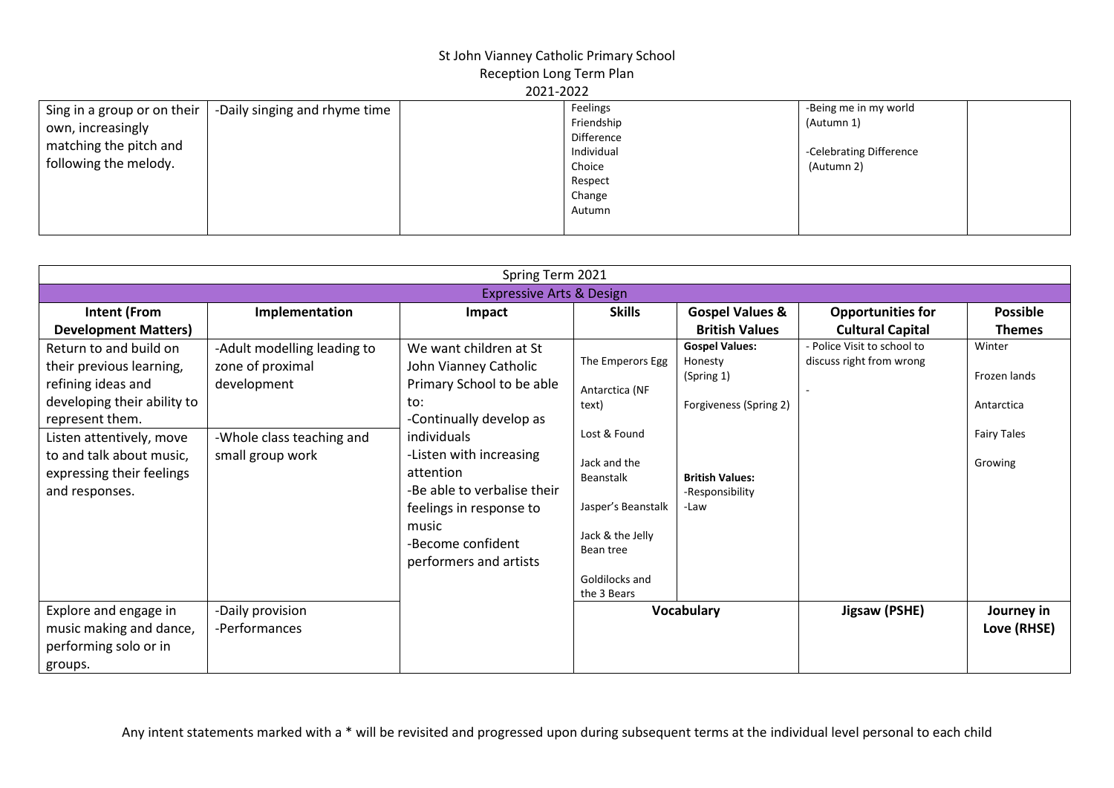| Sing in a group or on their<br>own, increasingly<br>matching the pitch and | -Daily singing and rhyme time | Feelings<br>Friendship<br>Difference                | -Being me in my world<br>(Autumn 1)   |  |
|----------------------------------------------------------------------------|-------------------------------|-----------------------------------------------------|---------------------------------------|--|
| following the melody.                                                      |                               | Individual<br>Choice<br>Respect<br>Change<br>Autumn | -Celebrating Difference<br>(Autumn 2) |  |

| Spring Term 2021                                                                                                       |                                                                |                                                                                                                                                                                                  |                                                                                                                                   |                                                                          |                                                         |                                      |  |
|------------------------------------------------------------------------------------------------------------------------|----------------------------------------------------------------|--------------------------------------------------------------------------------------------------------------------------------------------------------------------------------------------------|-----------------------------------------------------------------------------------------------------------------------------------|--------------------------------------------------------------------------|---------------------------------------------------------|--------------------------------------|--|
| <b>Expressive Arts &amp; Design</b>                                                                                    |                                                                |                                                                                                                                                                                                  |                                                                                                                                   |                                                                          |                                                         |                                      |  |
| <b>Intent (From</b>                                                                                                    | Implementation                                                 | Impact                                                                                                                                                                                           | <b>Skills</b>                                                                                                                     | <b>Gospel Values &amp;</b>                                               | <b>Opportunities for</b>                                | <b>Possible</b>                      |  |
| <b>Development Matters)</b>                                                                                            |                                                                |                                                                                                                                                                                                  |                                                                                                                                   | <b>British Values</b>                                                    | <b>Cultural Capital</b>                                 | <b>Themes</b>                        |  |
| Return to and build on<br>their previous learning,<br>refining ideas and<br>developing their ability to                | -Adult modelling leading to<br>zone of proximal<br>development | We want children at St<br>John Vianney Catholic<br>Primary School to be able<br>to:                                                                                                              | The Emperors Egg<br>Antarctica (NF<br>text)                                                                                       | <b>Gospel Values:</b><br>Honesty<br>(Spring 1)<br>Forgiveness (Spring 2) | - Police Visit to school to<br>discuss right from wrong | Winter<br>Frozen lands<br>Antarctica |  |
| represent them.<br>Listen attentively, move<br>to and talk about music,<br>expressing their feelings<br>and responses. | -Whole class teaching and<br>small group work                  | -Continually develop as<br>individuals<br>-Listen with increasing<br>attention<br>-Be able to verbalise their<br>feelings in response to<br>music<br>-Become confident<br>performers and artists | Lost & Found<br>Jack and the<br>Beanstalk<br>Jasper's Beanstalk<br>Jack & the Jelly<br>Bean tree<br>Goldilocks and<br>the 3 Bears | <b>British Values:</b><br>-Responsibility<br>-Law                        |                                                         | <b>Fairy Tales</b><br>Growing        |  |
| Explore and engage in<br>music making and dance,<br>performing solo or in<br>groups.                                   | -Daily provision<br>-Performances                              |                                                                                                                                                                                                  |                                                                                                                                   | <b>Vocabulary</b>                                                        | Jigsaw (PSHE)                                           | Journey in<br>Love (RHSE)            |  |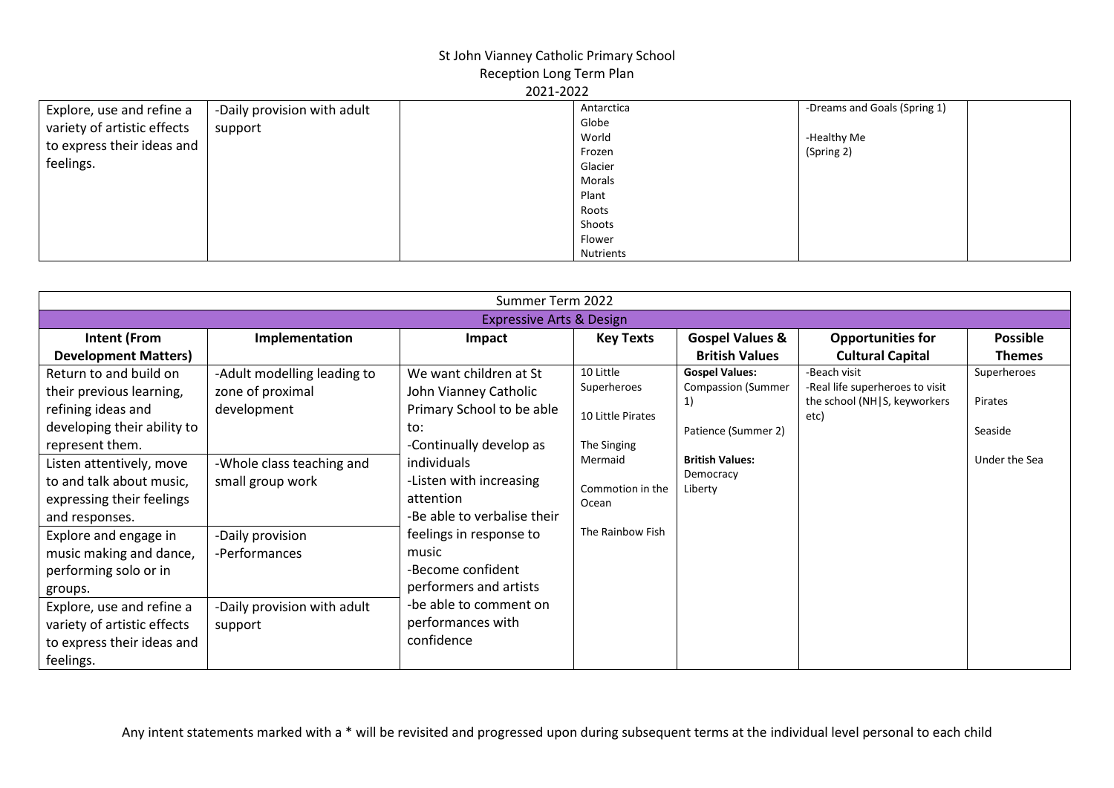| Explore, use and refine a                                 | -Daily provision with adult | Antarctica | -Dreams and Goals (Spring 1) |  |  |  |
|-----------------------------------------------------------|-----------------------------|------------|------------------------------|--|--|--|
| variety of artistic effects<br>to express their ideas and | support                     | Globe      |                              |  |  |  |
|                                                           |                             | World      | -Healthy Me                  |  |  |  |
|                                                           |                             | Frozen     | (Spring 2)                   |  |  |  |
| feelings.                                                 |                             | Glacier    |                              |  |  |  |
|                                                           |                             | Morals     |                              |  |  |  |
|                                                           |                             | Plant      |                              |  |  |  |
|                                                           |                             | Roots      |                              |  |  |  |
|                                                           |                             | Shoots     |                              |  |  |  |
|                                                           |                             | Flower     |                              |  |  |  |
|                                                           |                             | Nutrients  |                              |  |  |  |

| Summer Term 2022                    |                             |                             |                   |                            |                                      |                 |
|-------------------------------------|-----------------------------|-----------------------------|-------------------|----------------------------|--------------------------------------|-----------------|
| <b>Expressive Arts &amp; Design</b> |                             |                             |                   |                            |                                      |                 |
| <b>Intent (From</b>                 | Implementation              | Impact                      | <b>Key Texts</b>  | <b>Gospel Values &amp;</b> | <b>Opportunities for</b>             | <b>Possible</b> |
| <b>Development Matters)</b>         |                             |                             |                   | <b>British Values</b>      | <b>Cultural Capital</b>              | <b>Themes</b>   |
| Return to and build on              | -Adult modelling leading to | We want children at St      | 10 Little         | <b>Gospel Values:</b>      | -Beach visit                         | Superheroes     |
| their previous learning,            | zone of proximal            | John Vianney Catholic       | Superheroes       | <b>Compassion (Summer</b>  | -Real life superheroes to visit      | Pirates         |
| refining ideas and                  | development                 | Primary School to be able   | 10 Little Pirates | 1)                         | the school (NH S, keyworkers<br>etc) |                 |
| developing their ability to         |                             | to:                         |                   | Patience (Summer 2)        |                                      | Seaside         |
| represent them.                     |                             | -Continually develop as     | The Singing       |                            |                                      |                 |
| Listen attentively, move            | -Whole class teaching and   | individuals                 | Mermaid           | <b>British Values:</b>     |                                      | Under the Sea   |
| to and talk about music,            | small group work            | -Listen with increasing     | Commotion in the  | Democracy<br>Liberty       |                                      |                 |
| expressing their feelings           |                             | attention                   | Ocean             |                            |                                      |                 |
| and responses.                      |                             | -Be able to verbalise their |                   |                            |                                      |                 |
| Explore and engage in               | -Daily provision            | feelings in response to     | The Rainbow Fish  |                            |                                      |                 |
| music making and dance,             | -Performances               | music                       |                   |                            |                                      |                 |
| performing solo or in               |                             | -Become confident           |                   |                            |                                      |                 |
| groups.                             |                             | performers and artists      |                   |                            |                                      |                 |
| Explore, use and refine a           | -Daily provision with adult | -be able to comment on      |                   |                            |                                      |                 |
| variety of artistic effects         | support                     | performances with           |                   |                            |                                      |                 |
| to express their ideas and          |                             | confidence                  |                   |                            |                                      |                 |
| feelings.                           |                             |                             |                   |                            |                                      |                 |